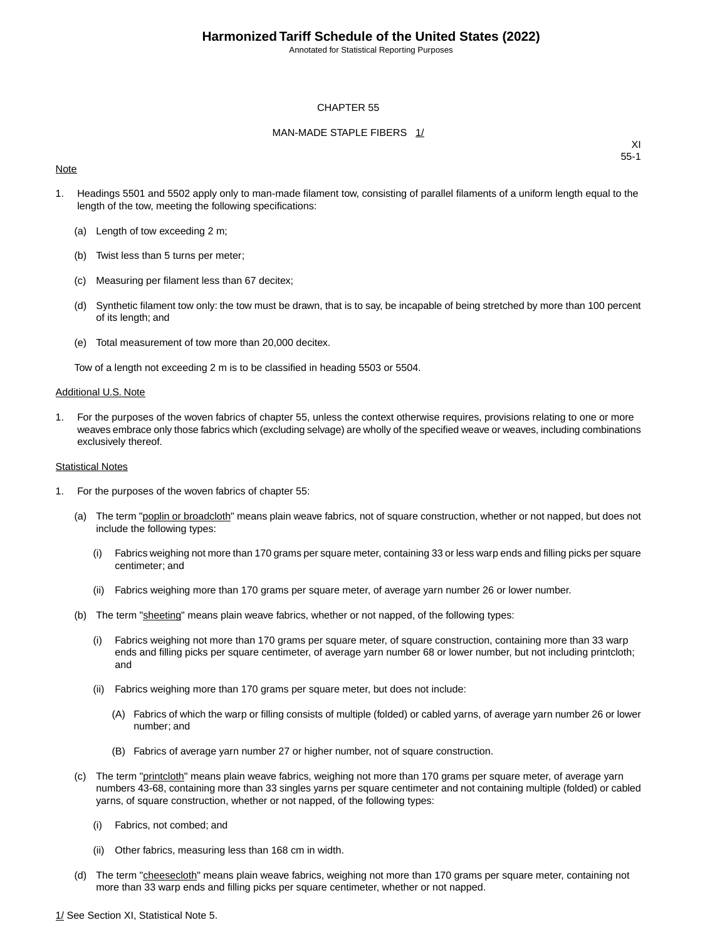Annotated for Statistical Reporting Purposes

#### CHAPTER 55

#### MAN-MADE STAPLE FIBERS 1/

#### **Note**

XI 55-1

- 1. Headings 5501 and 5502 apply only to man-made filament tow, consisting of parallel filaments of a uniform length equal to the length of the tow, meeting the following specifications:
	- (a) Length of tow exceeding 2 m;
	- (b) Twist less than 5 turns per meter;
	- (c) Measuring per filament less than 67 decitex;
	- (d) Synthetic filament tow only: the tow must be drawn, that is to say, be incapable of being stretched by more than 100 percent of its length; and
	- (e) Total measurement of tow more than 20,000 decitex.

Tow of a length not exceeding 2 m is to be classified in heading 5503 or 5504.

#### Additional U.S. Note

1. For the purposes of the woven fabrics of chapter 55, unless the context otherwise requires, provisions relating to one or more weaves embrace only those fabrics which (excluding selvage) are wholly of the specified weave or weaves, including combinations exclusively thereof.

#### Statistical Notes

- 1. For the purposes of the woven fabrics of chapter 55:
	- (a) The term "poplin or broadcloth" means plain weave fabrics, not of square construction, whether or not napped, but does not include the following types:
		- (i) Fabrics weighing not more than 170 grams per square meter, containing 33 or less warp ends and filling picks per square centimeter; and
		- (ii) Fabrics weighing more than 170 grams per square meter, of average yarn number 26 or lower number.
	- (b) The term "sheeting" means plain weave fabrics, whether or not napped, of the following types:
		- (i) Fabrics weighing not more than 170 grams per square meter, of square construction, containing more than 33 warp ends and filling picks per square centimeter, of average yarn number 68 or lower number, but not including printcloth; and
		- (ii) Fabrics weighing more than 170 grams per square meter, but does not include:
			- (A) Fabrics of which the warp or filling consists of multiple (folded) or cabled yarns, of average yarn number 26 or lower number; and
			- (B) Fabrics of average yarn number 27 or higher number, not of square construction.
	- (c) The term "printcloth" means plain weave fabrics, weighing not more than 170 grams per square meter, of average yarn numbers 43-68, containing more than 33 singles yarns per square centimeter and not containing multiple (folded) or cabled yarns, of square construction, whether or not napped, of the following types:
		- (i) Fabrics, not combed; and
		- (ii) Other fabrics, measuring less than 168 cm in width.
	- (d) The term "cheesecloth" means plain weave fabrics, weighing not more than 170 grams per square meter, containing not more than 33 warp ends and filling picks per square centimeter, whether or not napped.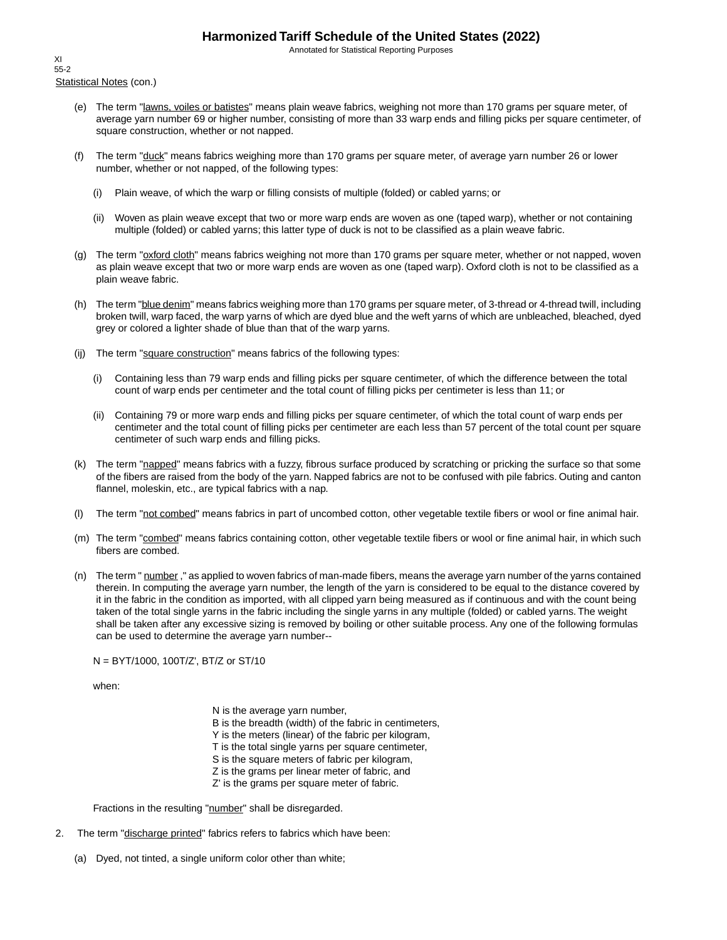Annotated for Statistical Reporting Purposes

Statistical Notes (con.) XI 55-2

- (e) The term "lawns, voiles or batistes" means plain weave fabrics, weighing not more than 170 grams per square meter, of average yarn number 69 or higher number, consisting of more than 33 warp ends and filling picks per square centimeter, of square construction, whether or not napped.
- (f) The term "duck" means fabrics weighing more than 170 grams per square meter, of average yarn number 26 or lower number, whether or not napped, of the following types:
	- (i) Plain weave, of which the warp or filling consists of multiple (folded) or cabled yarns; or
	- (ii) Woven as plain weave except that two or more warp ends are woven as one (taped warp), whether or not containing multiple (folded) or cabled yarns; this latter type of duck is not to be classified as a plain weave fabric.
- (g) The term "oxford cloth" means fabrics weighing not more than 170 grams per square meter, whether or not napped, woven as plain weave except that two or more warp ends are woven as one (taped warp). Oxford cloth is not to be classified as a plain weave fabric.
- (h) The term "blue denim" means fabrics weighing more than 170 grams per square meter, of 3-thread or 4-thread twill, including broken twill, warp faced, the warp yarns of which are dyed blue and the weft yarns of which are unbleached, bleached, dyed grey or colored a lighter shade of blue than that of the warp yarns.
- (ij) The term "square construction" means fabrics of the following types:
	- (i) Containing less than 79 warp ends and filling picks per square centimeter, of which the difference between the total count of warp ends per centimeter and the total count of filling picks per centimeter is less than 11; or
	- (ii) Containing 79 or more warp ends and filling picks per square centimeter, of which the total count of warp ends per centimeter and the total count of filling picks per centimeter are each less than 57 percent of the total count per square centimeter of such warp ends and filling picks.
- (k) The term "napped" means fabrics with a fuzzy, fibrous surface produced by scratching or pricking the surface so that some of the fibers are raised from the body of the yarn. Napped fabrics are not to be confused with pile fabrics. Outing and canton flannel, moleskin, etc., are typical fabrics with a nap.
- (l) The term "not combed" means fabrics in part of uncombed cotton, other vegetable textile fibers or wool or fine animal hair.
- (m) The term "combed" means fabrics containing cotton, other vegetable textile fibers or wool or fine animal hair, in which such fibers are combed.
- (n) The term " number," as applied to woven fabrics of man-made fibers, means the average yarn number of the yarns contained therein. In computing the average yarn number, the length of the yarn is considered to be equal to the distance covered by it in the fabric in the condition as imported, with all clipped yarn being measured as if continuous and with the count being taken of the total single yarns in the fabric including the single yarns in any multiple (folded) or cabled yarns. The weight shall be taken after any excessive sizing is removed by boiling or other suitable process. Any one of the following formulas can be used to determine the average yarn number--

N = BYT/1000, 100T/Z', BT/Z or ST/10

when:

N is the average yarn number, B is the breadth (width) of the fabric in centimeters, Y is the meters (linear) of the fabric per kilogram, T is the total single yarns per square centimeter, S is the square meters of fabric per kilogram, Z is the grams per linear meter of fabric, and Z' is the grams per square meter of fabric.

Fractions in the resulting "number" shall be disregarded.

- 2. The term "discharge printed" fabrics refers to fabrics which have been:
	- (a) Dyed, not tinted, a single uniform color other than white;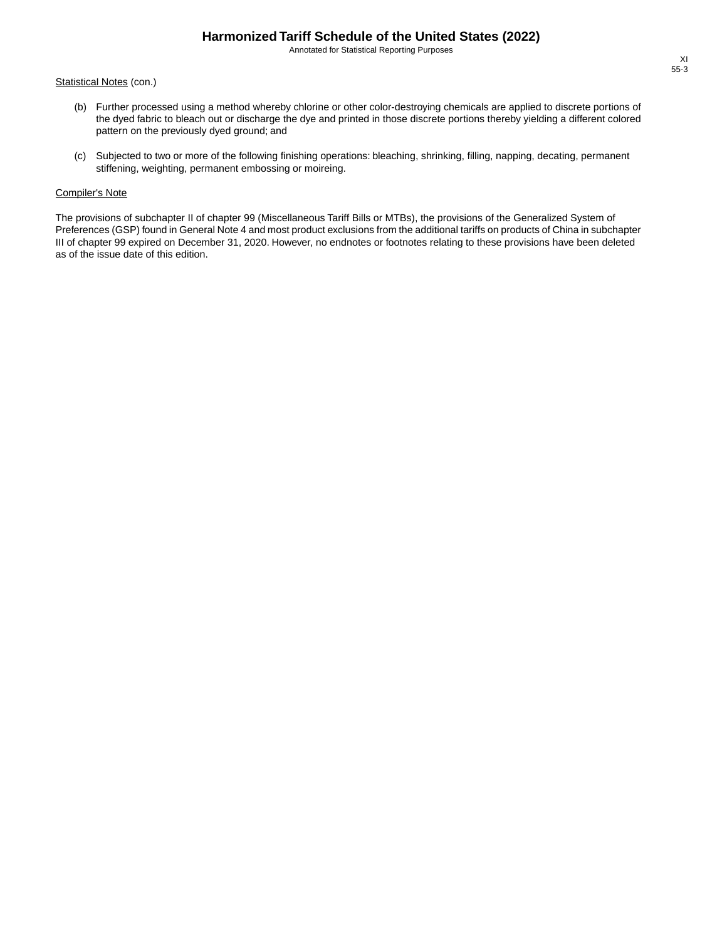Annotated for Statistical Reporting Purposes

#### Statistical Notes (con.)

- (b) Further processed using a method whereby chlorine or other color-destroying chemicals are applied to discrete portions of the dyed fabric to bleach out or discharge the dye and printed in those discrete portions thereby yielding a different colored pattern on the previously dyed ground; and
- (c) Subjected to two or more of the following finishing operations: bleaching, shrinking, filling, napping, decating, permanent stiffening, weighting, permanent embossing or moireing.

#### Compiler's Note

The provisions of subchapter II of chapter 99 (Miscellaneous Tariff Bills or MTBs), the provisions of the Generalized System of Preferences (GSP) found in General Note 4 and most product exclusions from the additional tariffs on products of China in subchapter III of chapter 99 expired on December 31, 2020. However, no endnotes or footnotes relating to these provisions have been deleted as of the issue date of this edition.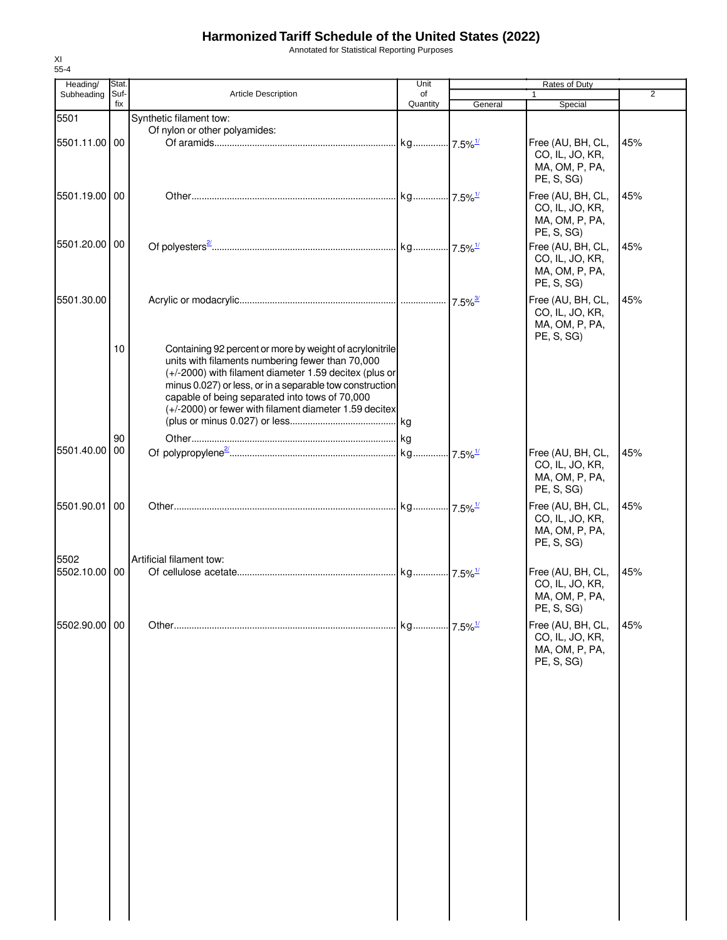Annotated for Statistical Reporting Purposes

| Heading/              | Stat.       |                                                                                                                                                                                                                                                                                                                                                | Unit                  |         | Rates of Duty                                                        |     |
|-----------------------|-------------|------------------------------------------------------------------------------------------------------------------------------------------------------------------------------------------------------------------------------------------------------------------------------------------------------------------------------------------------|-----------------------|---------|----------------------------------------------------------------------|-----|
| Subheading            | Suf-<br>fix | <b>Article Description</b>                                                                                                                                                                                                                                                                                                                     | of<br>Quantity        | General | $\mathbf{1}$<br>Special                                              | 2   |
| 5501                  |             | Synthetic filament tow:                                                                                                                                                                                                                                                                                                                        |                       |         |                                                                      |     |
|                       |             | Of nylon or other polyamides:                                                                                                                                                                                                                                                                                                                  |                       |         |                                                                      |     |
| 5501.11.00 00         |             |                                                                                                                                                                                                                                                                                                                                                |                       |         | Free (AU, BH, CL,<br>CO, IL, JO, KR,<br>MA, OM, P, PA,<br>PE, S, SG) | 45% |
| 5501.19.00 00         |             |                                                                                                                                                                                                                                                                                                                                                |                       |         | Free (AU, BH, CL,<br>CO, IL, JO, KR,<br>MA, OM, P, PA,<br>PE, S, SG) | 45% |
| 5501.20.00 00         |             |                                                                                                                                                                                                                                                                                                                                                |                       |         | Free (AU, BH, CL,<br>CO, IL, JO, KR,<br>MA, OM, P, PA,<br>PE, S, SG) | 45% |
| 5501.30.00            |             |                                                                                                                                                                                                                                                                                                                                                |                       |         | Free (AU, BH, CL,<br>CO, IL, JO, KR,<br>MA, OM, P, PA,<br>PE, S, SG) | 45% |
|                       | 10          | Containing 92 percent or more by weight of acrylonitrile<br>units with filaments numbering fewer than 70,000<br>(+/-2000) with filament diameter 1.59 decitex (plus or<br>minus 0.027) or less, or in a separable tow construction<br>capable of being separated into tows of 70,000<br>(+/-2000) or fewer with filament diameter 1.59 decitex |                       |         |                                                                      |     |
|                       | 90          |                                                                                                                                                                                                                                                                                                                                                |                       |         |                                                                      |     |
| 5501.40.00            | 00          |                                                                                                                                                                                                                                                                                                                                                |                       |         | Free (AU, BH, CL,<br>CO, IL, JO, KR,<br>MA, OM, P, PA,<br>PE, S, SG) | 45% |
| 5501.90.01            | 00          |                                                                                                                                                                                                                                                                                                                                                |                       |         | Free (AU, BH, CL,<br>CO, IL, JO, KR,<br>MA, OM, P, PA,<br>PE, S, SG) | 45% |
| 5502<br>5502.10.00 00 |             | Artificial filament tow:                                                                                                                                                                                                                                                                                                                       |                       |         | Free (AU, BH, CL,<br>CO, IL, JO, KR,<br>MA, OM, P, PA,<br>PE, S, SG) | 45% |
| 5502.90.00 00         |             |                                                                                                                                                                                                                                                                                                                                                | kg 7.5% <sup>1/</sup> |         | Free (AU, BH, CL,<br>CO, IL, JO, KR,<br>MA, OM, P, PA,<br>PE, S, SG) | 45% |
|                       |             |                                                                                                                                                                                                                                                                                                                                                |                       |         |                                                                      |     |
|                       |             |                                                                                                                                                                                                                                                                                                                                                |                       |         |                                                                      |     |
|                       |             |                                                                                                                                                                                                                                                                                                                                                |                       |         |                                                                      |     |
|                       |             |                                                                                                                                                                                                                                                                                                                                                |                       |         |                                                                      |     |
|                       |             |                                                                                                                                                                                                                                                                                                                                                |                       |         |                                                                      |     |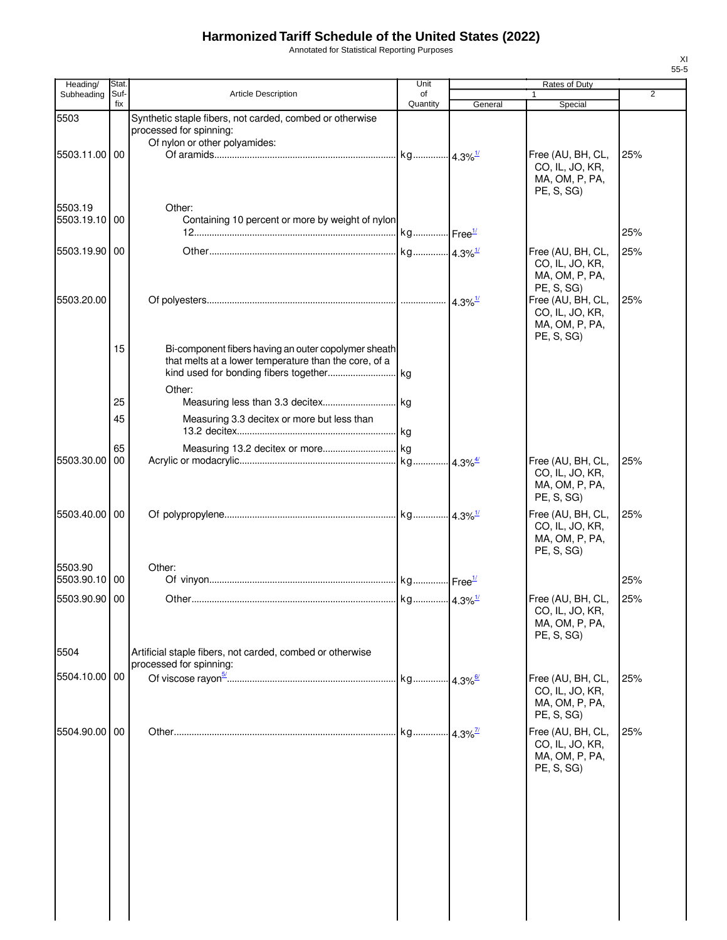Annotated for Statistical Reporting Purposes

| Heading/      | Stat.       |                                                                                                                         | Unit           |                            | Rates of Duty                                                        |                |
|---------------|-------------|-------------------------------------------------------------------------------------------------------------------------|----------------|----------------------------|----------------------------------------------------------------------|----------------|
| Subheading    | Suf-<br>fix | <b>Article Description</b>                                                                                              | of<br>Quantity | General                    | Special                                                              | $\overline{2}$ |
| 5503          |             | Synthetic staple fibers, not carded, combed or otherwise<br>processed for spinning:<br>Of nylon or other polyamides:    |                |                            |                                                                      |                |
| 5503.11.00 00 |             |                                                                                                                         |                |                            | Free (AU, BH, CL,<br>CO, IL, JO, KR,<br>MA, OM, P, PA,<br>PE, S, SG) | 25%            |
| 5503.19       |             | Other:                                                                                                                  |                |                            |                                                                      |                |
| 5503.19.10    | 00          | Containing 10 percent or more by weight of nylon                                                                        |                |                            |                                                                      | 25%            |
| 5503.19.90 00 |             |                                                                                                                         |                |                            | Free (AU, BH, CL,<br>CO, IL, JO, KR,<br>MA, OM, P, PA,<br>PE, S, SG) | 25%            |
| 5503.20.00    |             |                                                                                                                         |                | $\cdot$ 4.3% $\frac{1}{2}$ | Free (AU, BH, CL,<br>CO, IL, JO, KR,<br>MA, OM, P, PA,<br>PE, S, SG) | 25%            |
|               | 15          | Bi-component fibers having an outer copolymer sheath<br>that melts at a lower temperature than the core, of a<br>Other: |                |                            |                                                                      |                |
|               | 25          |                                                                                                                         |                |                            |                                                                      |                |
|               | 45          | Measuring 3.3 decitex or more but less than                                                                             |                |                            |                                                                      |                |
| 5503.30.00    | 65<br>00    |                                                                                                                         |                |                            | Free (AU, BH, CL,<br>CO, IL, JO, KR,<br>MA, OM, P, PA,               | 25%            |
|               |             |                                                                                                                         |                |                            | PE, S, SG)                                                           |                |
| 5503.40.00 00 |             |                                                                                                                         |                |                            | Free (AU, BH, CL,<br>CO, IL, JO, KR,<br>MA, OM, P, PA,<br>PE, S, SG) | 25%            |
| 5503.90       |             | Other:                                                                                                                  |                |                            |                                                                      |                |
| 5503.90.10 00 |             |                                                                                                                         |                |                            |                                                                      | 25%            |
| 5503.90.90 00 |             |                                                                                                                         |                |                            | Free (AU, BH, CL,<br>CO, IL, JO, KR,<br>MA, OM, P, PA,<br>PE, S, SG) | 25%            |
| 5504          |             | Artificial staple fibers, not carded, combed or otherwise<br>processed for spinning:                                    |                |                            |                                                                      |                |
| 5504.10.00 00 |             |                                                                                                                         |                |                            | Free (AU, BH, CL,<br>CO, IL, JO, KR,<br>MA, OM, P, PA,<br>PE, S, SG) | 25%            |
| 5504.90.00    | 00          |                                                                                                                         |                |                            | Free (AU, BH, CL,<br>CO, IL, JO, KR,<br>MA, OM, P, PA,<br>PE, S, SG) | 25%            |
|               |             |                                                                                                                         |                |                            |                                                                      |                |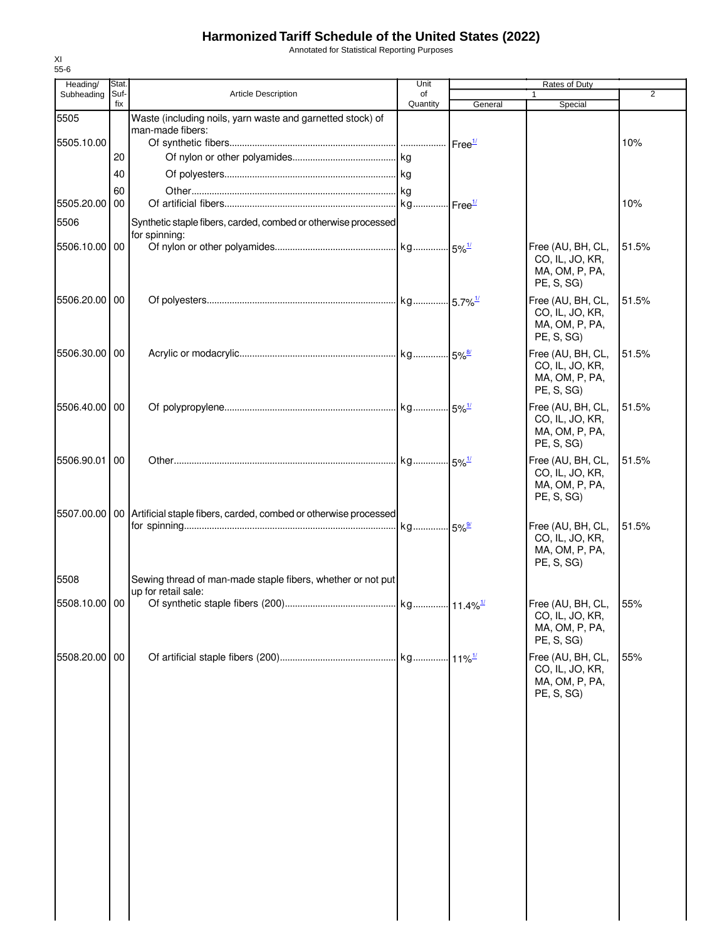Annotated for Statistical Reporting Purposes

| Heading/      | Stat.       |                                                                                   | Unit           |         | Rates of Duty                                                        |                |
|---------------|-------------|-----------------------------------------------------------------------------------|----------------|---------|----------------------------------------------------------------------|----------------|
| Subheading    | Suf-<br>fix | <b>Article Description</b>                                                        | of<br>Quantity |         |                                                                      | $\overline{2}$ |
| 5505          |             | Waste (including noils, yarn waste and garnetted stock) of                        |                | General | Special                                                              |                |
| 5505.10.00    |             | man-made fibers:                                                                  |                |         |                                                                      | 10%            |
|               | 20          |                                                                                   |                |         |                                                                      |                |
|               | 40          |                                                                                   |                |         |                                                                      |                |
|               | 60          |                                                                                   |                |         |                                                                      |                |
| 5505.20.00    | 00          |                                                                                   |                |         |                                                                      | 10%            |
| 5506          |             | Synthetic staple fibers, carded, combed or otherwise processed                    |                |         |                                                                      |                |
| 5506.10.00 00 |             | for spinning:                                                                     |                |         | Free (AU, BH, CL,                                                    | 51.5%          |
|               |             |                                                                                   |                |         | CO, IL, JO, KR,<br>MA, OM, P, PA,<br>PE, S, SG)                      |                |
| 5506.20.00 00 |             |                                                                                   |                |         | Free (AU, BH, CL,<br>CO, IL, JO, KR,<br>MA, OM, P, PA,<br>PE, S, SG) | 51.5%          |
| 5506.30.00 00 |             |                                                                                   |                |         | Free (AU, BH, CL,<br>CO, IL, JO, KR,<br>MA, OM, P, PA,<br>PE, S, SG) | 51.5%          |
| 5506.40.00 00 |             |                                                                                   |                |         | Free (AU, BH, CL,<br>CO, IL, JO, KR,<br>MA, OM, P, PA,<br>PE, S, SG) | 51.5%          |
| 5506.90.01    | 00          |                                                                                   |                |         | Free (AU, BH, CL,<br>CO, IL, JO, KR,<br>MA, OM, P, PA,<br>PE, S, SG) | 51.5%          |
|               |             | 5507.00.00   00   Artificial staple fibers, carded, combed or otherwise processed |                |         | Free (AU, BH, CL,<br>CO, IL, JO, KR,<br>MA, OM, P, PA,<br>PE, S, SG) | 51.5%          |
| 5508          |             | Sewing thread of man-made staple fibers, whether or not put                       |                |         |                                                                      |                |
|               |             | up for retail sale:                                                               |                |         |                                                                      |                |
| 5508.10.00 00 |             |                                                                                   |                |         | Free (AU, BH, CL,<br>CO, IL, JO, KR,<br>MA, OM, P, PA,<br>PE, S, SG) | 55%            |
| 5508.20.00 00 |             |                                                                                   |                |         | Free (AU, BH, CL,<br>CO, IL, JO, KR,<br>MA, OM, P, PA,<br>PE, S, SG) | 55%            |
|               |             |                                                                                   |                |         |                                                                      |                |
|               |             |                                                                                   |                |         |                                                                      |                |
|               |             |                                                                                   |                |         |                                                                      |                |
|               |             |                                                                                   |                |         |                                                                      |                |
|               |             |                                                                                   |                |         |                                                                      |                |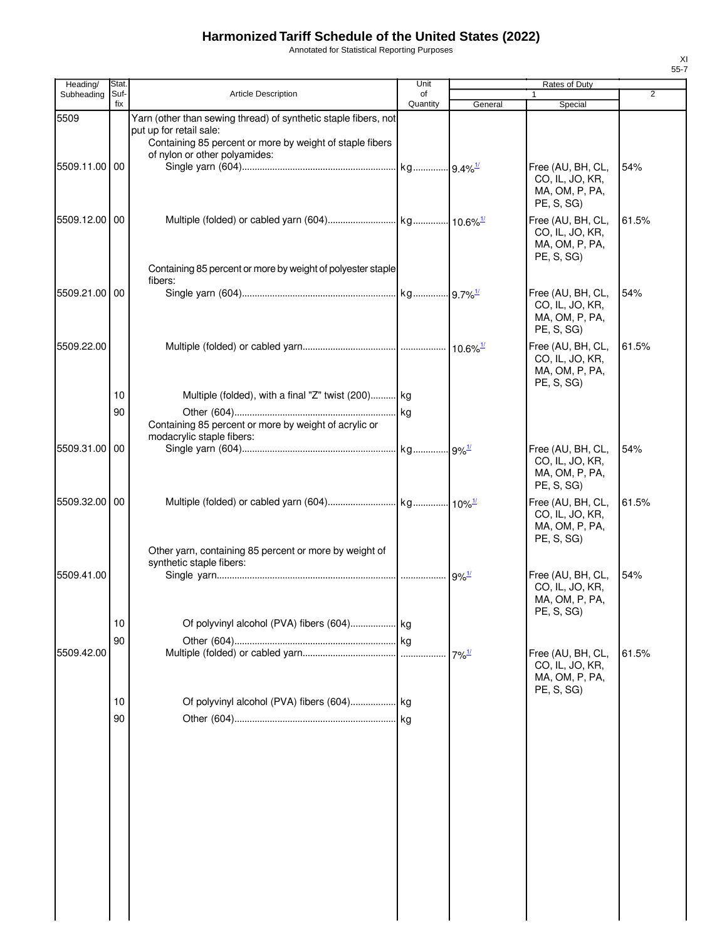Annotated for Statistical Reporting Purposes

| Heading/      | Stat.       |                                                                                                                                                                                         | Unit           |                     | Rates of Duty                                                        |                |
|---------------|-------------|-----------------------------------------------------------------------------------------------------------------------------------------------------------------------------------------|----------------|---------------------|----------------------------------------------------------------------|----------------|
| Subheading    | Suf-<br>fix | <b>Article Description</b>                                                                                                                                                              | of<br>Quantity | General             | Special                                                              | $\overline{2}$ |
| 5509          |             | Yarn (other than sewing thread) of synthetic staple fibers, not<br>put up for retail sale:<br>Containing 85 percent or more by weight of staple fibers<br>of nylon or other polyamides: |                |                     |                                                                      |                |
| 5509.11.00    | 00          |                                                                                                                                                                                         |                |                     | Free (AU, BH, CL,<br>CO, IL, JO, KR,<br>MA, OM, P, PA,<br>PE, S, SG) | 54%            |
| 5509.12.00 00 |             |                                                                                                                                                                                         |                |                     | Free (AU, BH, CL,<br>CO, IL, JO, KR,<br>MA, OM, P, PA,<br>PE, S, SG) | 61.5%          |
|               |             | Containing 85 percent or more by weight of polyester staple<br>fibers:                                                                                                                  |                |                     |                                                                      |                |
| 5509.21.00 00 |             |                                                                                                                                                                                         |                |                     | Free (AU, BH, CL,<br>CO, IL, JO, KR,<br>MA, OM, P, PA,<br>PE, S, SG) | 54%            |
| 5509.22.00    |             |                                                                                                                                                                                         |                |                     | Free (AU, BH, CL,<br>CO, IL, JO, KR,<br>MA, OM, P, PA,<br>PE, S, SG) | 61.5%          |
|               | 10          | Multiple (folded), with a final "Z" twist (200) kg                                                                                                                                      |                |                     |                                                                      |                |
|               | 90          | Containing 85 percent or more by weight of acrylic or<br>modacrylic staple fibers:                                                                                                      |                |                     |                                                                      |                |
| 5509.31.00    | 00          |                                                                                                                                                                                         |                |                     | Free (AU, BH, CL,<br>CO, IL, JO, KR,<br>MA, OM, P, PA,<br>PE, S, SG) | 54%            |
| 5509.32.00 00 |             |                                                                                                                                                                                         |                |                     | Free (AU, BH, CL,<br>CO, IL, JO, KR,<br>MA, OM, P, PA,<br>PE, S, SG) | 61.5%          |
| 5509.41.00    |             | Other yarn, containing 85 percent or more by weight of<br>synthetic staple fibers:                                                                                                      |                |                     | Free (AU, BH, CL,                                                    | 54%            |
|               |             |                                                                                                                                                                                         |                |                     | CO, IL, JO, KR,<br>MA, OM, P, PA,<br>PE, S, SG)                      |                |
|               | 10          |                                                                                                                                                                                         |                |                     |                                                                      |                |
|               | 90          |                                                                                                                                                                                         |                |                     |                                                                      |                |
| 5509.42.00    |             |                                                                                                                                                                                         |                | $7\%$ <sup>1/</sup> | Free (AU, BH, CL,<br>CO, IL, JO, KR,<br>MA, OM, P, PA,<br>PE, S, SG) | 61.5%          |
|               | 10          |                                                                                                                                                                                         |                |                     |                                                                      |                |
|               | 90          |                                                                                                                                                                                         |                |                     |                                                                      |                |
|               |             |                                                                                                                                                                                         |                |                     |                                                                      |                |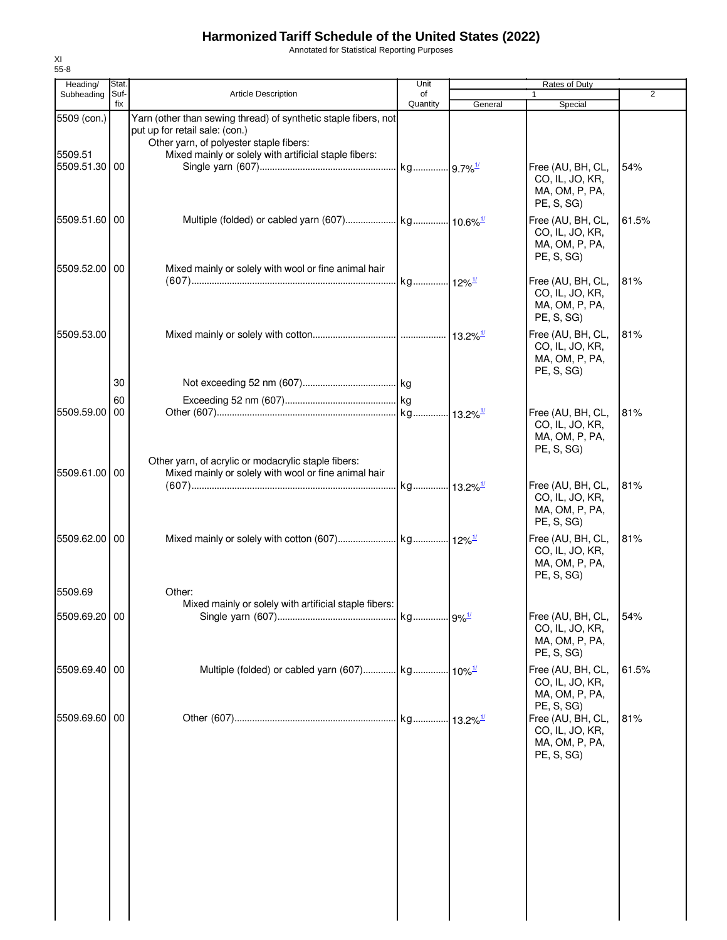Annotated for Statistical Reporting Purposes

| Heading/              | Stat.       |                                                                                                                                              | Unit                 |                        | Rates of Duty                                                        |                |
|-----------------------|-------------|----------------------------------------------------------------------------------------------------------------------------------------------|----------------------|------------------------|----------------------------------------------------------------------|----------------|
| Subheading            | Suf-<br>fix | Article Description                                                                                                                          | of<br>Quantity       | General                | Special                                                              | $\overline{2}$ |
| 5509 (con.)           |             | Yarn (other than sewing thread) of synthetic staple fibers, not<br>put up for retail sale: (con.)<br>Other yarn, of polyester staple fibers: |                      |                        |                                                                      |                |
| 5509.51<br>5509.51.30 | 00          | Mixed mainly or solely with artificial staple fibers:                                                                                        |                      |                        | Free (AU, BH, CL,<br>CO, IL, JO, KR,<br>MA, OM, P, PA,<br>PE, S, SG) | 54%            |
| 5509.51.60 00         |             |                                                                                                                                              |                      |                        | Free (AU, BH, CL,<br>CO, IL, JO, KR,<br>MA, OM, P, PA,<br>PE, S, SG) | 61.5%          |
| 5509.52.00 00         |             | Mixed mainly or solely with wool or fine animal hair                                                                                         | kg 12% <sup>1/</sup> |                        | Free (AU, BH, CL,<br>CO, IL, JO, KR,<br>MA, OM, P, PA,<br>PE, S, SG) | 81%            |
| 5509.53.00            | 30          |                                                                                                                                              |                      |                        | Free (AU, BH, CL,<br>CO, IL, JO, KR,<br>MA, OM, P, PA,<br>PE, S, SG) | 81%            |
|                       |             |                                                                                                                                              |                      |                        |                                                                      |                |
|                       | 60          |                                                                                                                                              |                      |                        |                                                                      |                |
| 5509.59.00            | 00          |                                                                                                                                              |                      |                        | Free (AU, BH, CL,<br>CO, IL, JO, KR,<br>MA, OM, P, PA,<br>PE, S, SG) | 81%            |
| 5509.61.00 00         |             | Other yarn, of acrylic or modacrylic staple fibers:<br>Mixed mainly or solely with wool or fine animal hair                                  |                      |                        |                                                                      |                |
|                       |             |                                                                                                                                              |                      |                        | Free (AU, BH, CL,<br>CO, IL, JO, KR,<br>MA, OM, P, PA,<br>PE, S, SG) | 81%            |
| 5509.62.00 00         |             |                                                                                                                                              |                      |                        | Free (AU, BH, CL,<br>CO, IL, JO, KR,<br>MA, OM, P, PA,<br>PE, S, SG) | 81%            |
| 5509.69               |             | Other:                                                                                                                                       |                      |                        |                                                                      |                |
|                       |             | Mixed mainly or solely with artificial staple fibers:                                                                                        |                      |                        |                                                                      |                |
| 5509.69.20 00         |             |                                                                                                                                              |                      |                        | Free (AU, BH, CL,<br>CO, IL, JO, KR,<br>MA, OM, P, PA,<br>PE, S, SG) | 54%            |
| 5509.69.40            | 00          |                                                                                                                                              |                      |                        | Free (AU, BH, CL,<br>CO, IL, JO, KR,<br>MA, OM, P, PA,<br>PE, S, SG) | 61.5%          |
| 5509.69.60            | 00          |                                                                                                                                              |                      | $13.2\%$ <sup>1/</sup> | Free (AU, BH, CL,<br>CO, IL, JO, KR,<br>MA, OM, P, PA,<br>PE, S, SG) | 81%            |
|                       |             |                                                                                                                                              |                      |                        |                                                                      |                |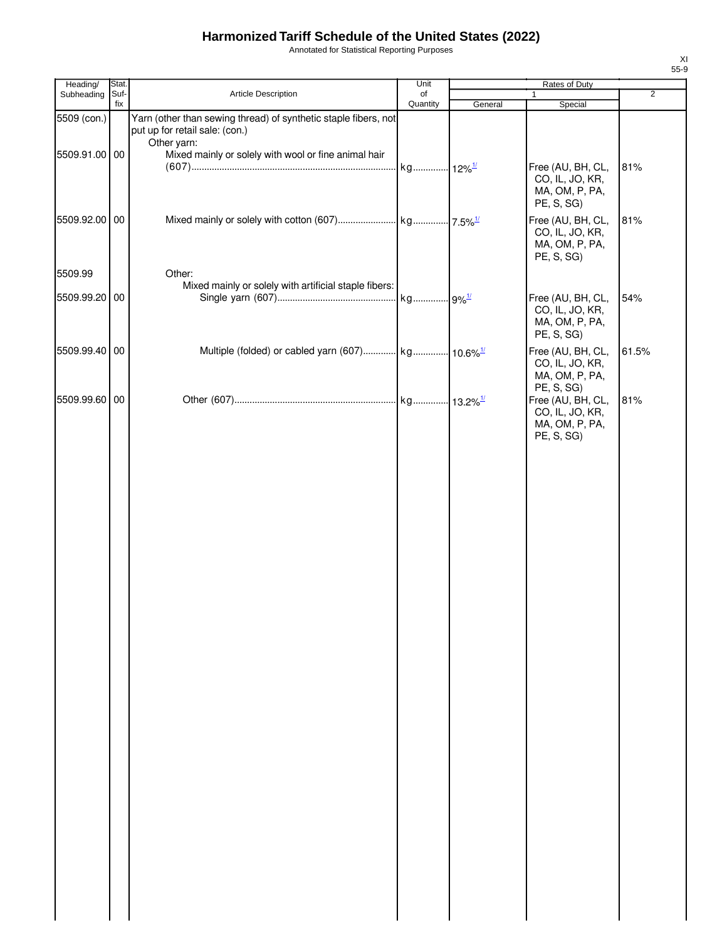Annotated for Statistical Reporting Purposes

| Heading/      | Stat.       |                                                                                                                  | Unit                 |         | Rates of Duty                                                                      |                |
|---------------|-------------|------------------------------------------------------------------------------------------------------------------|----------------------|---------|------------------------------------------------------------------------------------|----------------|
| Subheading    | Suf-<br>fix | Article Description                                                                                              | of<br>Quantity       | General | 1<br>Special                                                                       | $\overline{2}$ |
| 5509 (con.)   |             | Yarn (other than sewing thread) of synthetic staple fibers, not<br>put up for retail sale: (con.)<br>Other yarn: |                      |         |                                                                                    |                |
| 5509.91.00 00 |             | Mixed mainly or solely with wool or fine animal hair                                                             | kg 12% <sup>1/</sup> |         | Free (AU, BH, CL,<br>CO, IL, JO, KR,<br>MA, OM, P, PA,                             | 81%            |
| 5509.92.00 00 |             |                                                                                                                  |                      |         | PE, S, SG)<br>Free (AU, BH, CL,<br>CO, IL, JO, KR,<br>MA, OM, P, PA,<br>PE, S, SG) | 81%            |
| 5509.99       |             | Other:<br>Mixed mainly or solely with artificial staple fibers:                                                  |                      |         |                                                                                    |                |
| 5509.99.20 00 |             |                                                                                                                  | kg 9% <sup>1/</sup>  |         | Free (AU, BH, CL,<br>CO, IL, JO, KR,<br>MA, OM, P, PA,<br>PE, S, SG)               | 54%            |
| 5509.99.40 00 |             | Multiple (folded) or cabled yarn (607) kg 10.6% <sup>1/</sup>                                                    |                      |         | Free (AU, BH, CL,<br>CO, IL, JO, KR,<br>MA, OM, P, PA,                             | 61.5%          |
| 5509.99.60 00 |             |                                                                                                                  |                      |         | PE, S, SG)<br>Free (AU, BH, CL,<br>CO, IL, JO, KR,<br>MA, OM, P, PA,<br>PE, S, SG) | 81%            |
|               |             |                                                                                                                  |                      |         |                                                                                    |                |
|               |             |                                                                                                                  |                      |         |                                                                                    |                |
|               |             |                                                                                                                  |                      |         |                                                                                    |                |
|               |             |                                                                                                                  |                      |         |                                                                                    |                |
|               |             |                                                                                                                  |                      |         |                                                                                    |                |
|               |             |                                                                                                                  |                      |         |                                                                                    |                |
|               |             |                                                                                                                  |                      |         |                                                                                    |                |
|               |             |                                                                                                                  |                      |         |                                                                                    |                |
|               |             |                                                                                                                  |                      |         |                                                                                    |                |
|               |             |                                                                                                                  |                      |         |                                                                                    |                |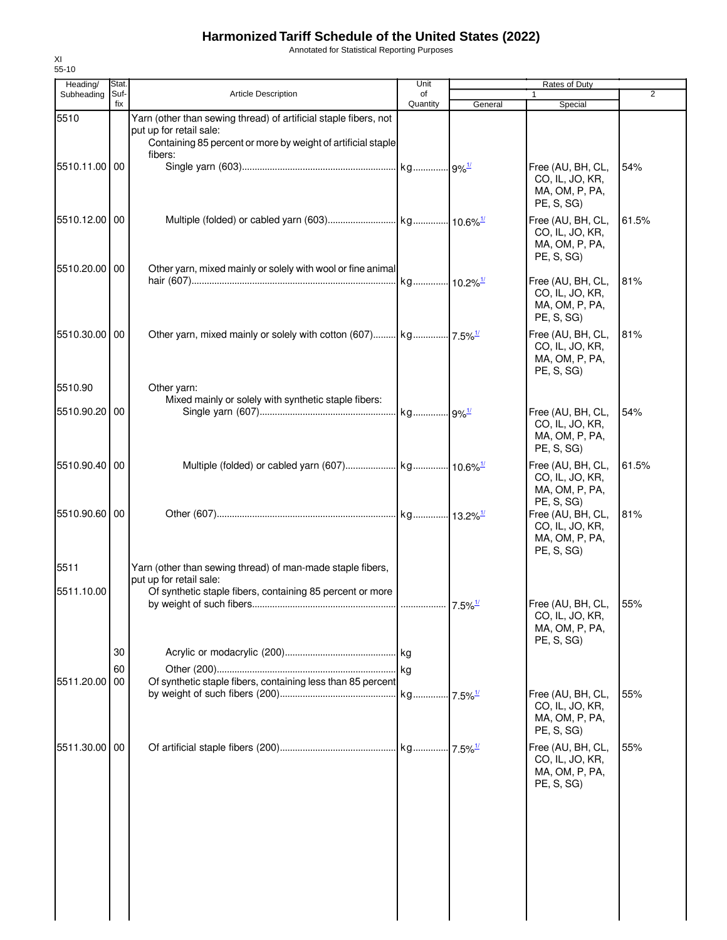Annotated for Statistical Reporting Purposes

| Heading/      | Stat.       |                                                                                                                                                             | Unit           |         | Rates of Duty                                                        |                |
|---------------|-------------|-------------------------------------------------------------------------------------------------------------------------------------------------------------|----------------|---------|----------------------------------------------------------------------|----------------|
| Subheading    | Suf-<br>fix | <b>Article Description</b>                                                                                                                                  | of<br>Quantity | General | Special                                                              | $\overline{2}$ |
| 5510          |             | Yarn (other than sewing thread) of artificial staple fibers, not<br>put up for retail sale:<br>Containing 85 percent or more by weight of artificial staple |                |         |                                                                      |                |
| 5510.11.00 00 |             | fibers:                                                                                                                                                     |                |         | Free (AU, BH, CL,<br>CO, IL, JO, KR,<br>MA, OM, P, PA,<br>PE, S, SG) | 54%            |
| 5510.12.00 00 |             |                                                                                                                                                             |                |         | Free (AU, BH, CL,<br>CO, IL, JO, KR,<br>MA, OM, P, PA,<br>PE, S, SG) | 61.5%          |
| 5510.20.00 00 |             | Other yarn, mixed mainly or solely with wool or fine animal                                                                                                 |                |         | Free (AU, BH, CL,<br>CO, IL, JO, KR,<br>MA, OM, P, PA,<br>PE, S, SG) | 81%            |
| 5510.30.00 00 |             |                                                                                                                                                             |                |         | Free (AU, BH, CL,<br>CO, IL, JO, KR,<br>MA, OM, P, PA,<br>PE, S, SG) | 81%            |
| 5510.90       |             | Other yarn:                                                                                                                                                 |                |         |                                                                      |                |
| 5510.90.20 00 |             | Mixed mainly or solely with synthetic staple fibers:                                                                                                        |                |         | Free (AU, BH, CL,<br>CO, IL, JO, KR,<br>MA, OM, P, PA,<br>PE, S, SG) | 54%            |
| 5510.90.40 00 |             |                                                                                                                                                             |                |         | Free (AU, BH, CL,<br>CO, IL, JO, KR,<br>MA, OM, P, PA,<br>PE, S, SG) | 61.5%          |
| 5510.90.60 00 |             |                                                                                                                                                             |                |         | Free (AU, BH, CL,<br>CO, IL, JO, KR,<br>MA, OM, P, PA,<br>PE, S, SG) | 81%            |
| 5511          |             | Yarn (other than sewing thread) of man-made staple fibers,<br>put up for retail sale:                                                                       |                |         |                                                                      |                |
| 5511.10.00    |             | Of synthetic staple fibers, containing 85 percent or more                                                                                                   |                |         | Free (AU, BH, CL, 55%<br>CO, IL, JO, KR,<br>MA, OM, P, PA,           |                |
|               | 30          |                                                                                                                                                             |                |         | PE, S, SG)                                                           |                |
|               | 60          |                                                                                                                                                             |                |         |                                                                      |                |
| 5511.20.00    | 00          | Of synthetic staple fibers, containing less than 85 percent                                                                                                 |                |         | Free (AU, BH, CL,<br>CO, IL, JO, KR,<br>MA, OM, P, PA,<br>PE, S, SG) | 55%            |
| 5511.30.00 00 |             |                                                                                                                                                             |                |         | Free (AU, BH, CL,<br>CO, IL, JO, KR,<br>MA, OM, P, PA,<br>PE, S, SG) | 55%            |
|               |             |                                                                                                                                                             |                |         |                                                                      |                |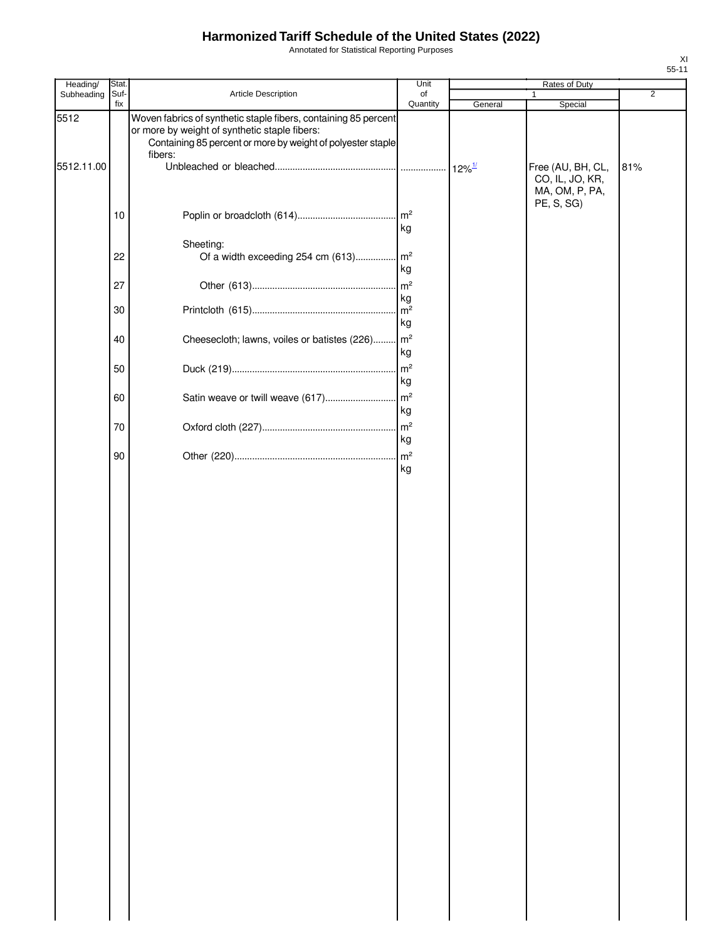Annotated for Statistical Reporting Purposes

| Heading/           | Stat.       |                                                                                                                                                                                            | Unit           |         | Rates of Duty                        |                |
|--------------------|-------------|--------------------------------------------------------------------------------------------------------------------------------------------------------------------------------------------|----------------|---------|--------------------------------------|----------------|
| Subheading         | Suf-<br>fix | Article Description                                                                                                                                                                        | of<br>Quantity | General | 1<br>Special                         | $\overline{2}$ |
| 5512<br>5512.11.00 |             | Woven fabrics of synthetic staple fibers, containing 85 percent<br>or more by weight of synthetic staple fibers:<br>Containing 85 percent or more by weight of polyester staple<br>fibers: |                |         | Free (AU, BH, CL,<br>CO, IL, JO, KR, | 81%            |
|                    | 10          |                                                                                                                                                                                            |                |         | MA, OM, P, PA,<br>PE, S, SG)         |                |
|                    |             | Sheeting:                                                                                                                                                                                  | kg             |         |                                      |                |
|                    | 22          | Of a width exceeding 254 cm (613) m <sup>2</sup>                                                                                                                                           | kg             |         |                                      |                |
|                    | 27          |                                                                                                                                                                                            | kg             |         |                                      |                |
|                    | 30          |                                                                                                                                                                                            | kg             |         |                                      |                |
|                    | 40          | Cheesecloth; lawns, voiles or batistes (226) m <sup>2</sup>                                                                                                                                | kg             |         |                                      |                |
|                    | 50          |                                                                                                                                                                                            | kg             |         |                                      |                |
|                    | 60          |                                                                                                                                                                                            | kg             |         |                                      |                |
|                    | 70          |                                                                                                                                                                                            | kg             |         |                                      |                |
|                    | 90          |                                                                                                                                                                                            | kg             |         |                                      |                |
|                    |             |                                                                                                                                                                                            |                |         |                                      |                |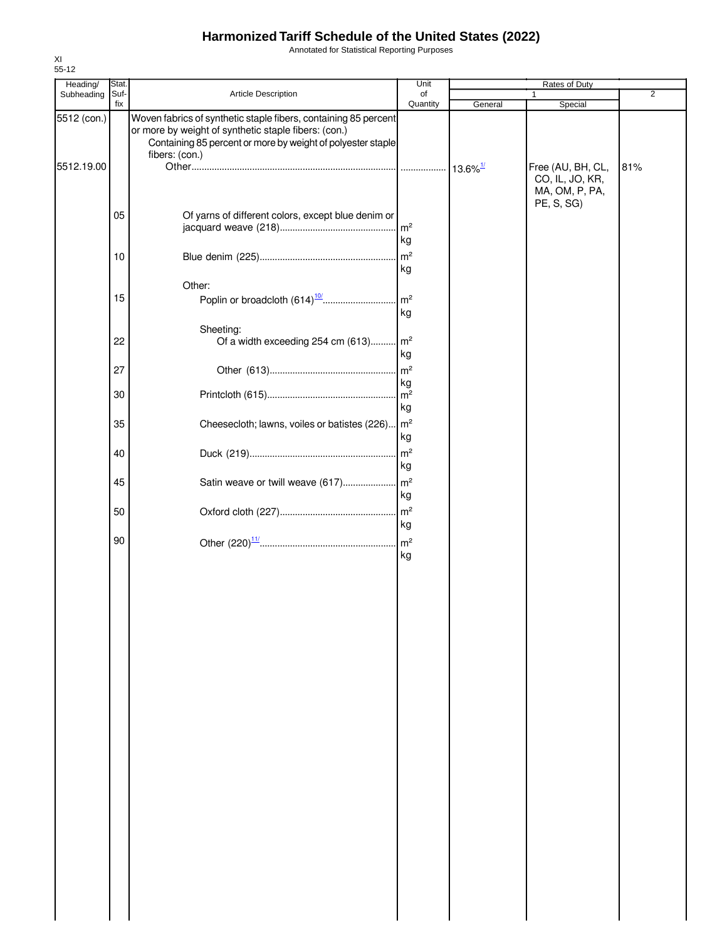Annotated for Statistical Reporting Purposes

| Heading/                  | Stat.       |                                                                                                                                                                                                          | Unit                       |         | Rates of Duty                                   |                |
|---------------------------|-------------|----------------------------------------------------------------------------------------------------------------------------------------------------------------------------------------------------------|----------------------------|---------|-------------------------------------------------|----------------|
| Subheading                | Suf-<br>fix | Article Description                                                                                                                                                                                      | of<br>Quantity             |         |                                                 | $\overline{2}$ |
| 5512 (con.)<br>5512.19.00 |             | Woven fabrics of synthetic staple fibers, containing 85 percent<br>or more by weight of synthetic staple fibers: (con.)<br>Containing 85 percent or more by weight of polyester staple<br>fibers: (con.) |                            | General | Special<br>Free (AU, BH, CL,                    | 81%            |
|                           |             |                                                                                                                                                                                                          |                            |         | CO, IL, JO, KR,<br>MA, OM, P, PA,<br>PE, S, SG) |                |
|                           | 05          | Of yarns of different colors, except blue denim or                                                                                                                                                       | $\mathsf{Im}^2$<br>kg      |         |                                                 |                |
|                           | 10          |                                                                                                                                                                                                          | m <sup>2</sup><br>kg       |         |                                                 |                |
|                           | 15          | Other:                                                                                                                                                                                                   | m <sup>2</sup><br>kg       |         |                                                 |                |
|                           | 22          | Sheeting:<br>Of a width exceeding 254 cm (613) m <sup>2</sup>                                                                                                                                            |                            |         |                                                 |                |
|                           | 27          |                                                                                                                                                                                                          | kg<br>kg                   |         |                                                 |                |
|                           | 30          |                                                                                                                                                                                                          | kg                         |         |                                                 |                |
|                           | 35<br>40    | Cheesecloth; lawns, voiles or batistes (226)   m <sup>2</sup>                                                                                                                                            | kg<br>m <sup>2</sup>       |         |                                                 |                |
|                           | 45          | Satin weave or twill weave (617)                                                                                                                                                                         | kg<br>$\mathsf{m}^2$       |         |                                                 |                |
|                           | 50          |                                                                                                                                                                                                          | kg<br>m <sup>2</sup>       |         |                                                 |                |
|                           | 90          |                                                                                                                                                                                                          | kg<br>m <sup>2</sup><br>kg |         |                                                 |                |
|                           |             |                                                                                                                                                                                                          |                            |         |                                                 |                |
|                           |             |                                                                                                                                                                                                          |                            |         |                                                 |                |
|                           |             |                                                                                                                                                                                                          |                            |         |                                                 |                |
|                           |             |                                                                                                                                                                                                          |                            |         |                                                 |                |
|                           |             |                                                                                                                                                                                                          |                            |         |                                                 |                |
|                           |             |                                                                                                                                                                                                          |                            |         |                                                 |                |
|                           |             |                                                                                                                                                                                                          |                            |         |                                                 |                |
|                           |             |                                                                                                                                                                                                          |                            |         |                                                 |                |
|                           |             |                                                                                                                                                                                                          |                            |         |                                                 |                |
|                           |             |                                                                                                                                                                                                          |                            |         |                                                 |                |
|                           |             |                                                                                                                                                                                                          |                            |         |                                                 |                |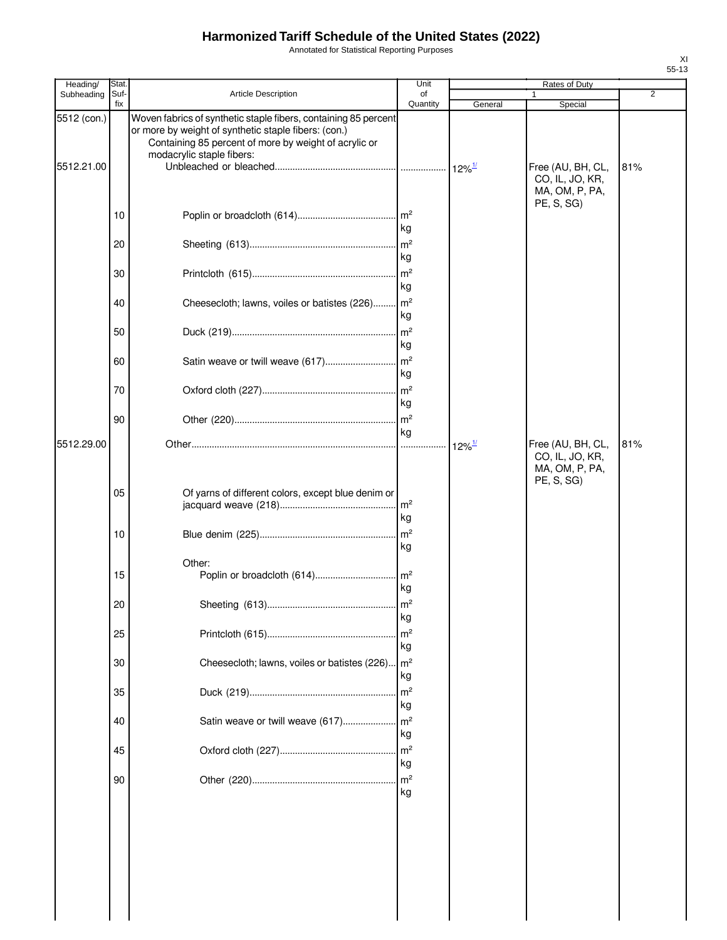Annotated for Statistical Reporting Purposes

| Article Description<br>Subheading<br>Suf-<br>of<br>fix<br>Quantity<br>General<br>Special<br>5512 (con.)<br>Woven fabrics of synthetic staple fibers, containing 85 percent<br>or more by weight of synthetic staple fibers: (con.)<br>Containing 85 percent of more by weight of acrylic or<br>modacrylic staple fibers:<br>5512.21.00<br>Free (AU, BH, CL,<br>CO, IL, JO, KR,<br>MA, OM, P, PA,<br>PE, S, SG)<br>10<br>kg<br>$\mathsf{Im}^2$<br>20<br>kg<br>m <sup>2</sup><br>30<br>kg<br>m <sup>2</sup><br>Cheesecloth; lawns, voiles or batistes (226)<br>40<br>kg<br>m <sup>2</sup><br>50<br>kg<br>60<br>kg<br>70<br>kg<br>m <sup>2</sup><br>90<br>kg<br>5512.29.00<br>81%<br>Free (AU, BH, CL,<br>$12\%$ <sup>1/</sup><br>CO, IL, JO, KR,<br>MA, OM, P, PA,<br>PE, S, SG)<br>05<br>Of yarns of different colors, except blue denim or<br>m <sup>2</sup><br>kg<br>m <sup>2</sup><br>10<br>kg<br>Other:<br>15<br>kg<br>20<br>m <sup>2</sup><br>kg | Heading/<br>Stat. |                |
|------------------------------------------------------------------------------------------------------------------------------------------------------------------------------------------------------------------------------------------------------------------------------------------------------------------------------------------------------------------------------------------------------------------------------------------------------------------------------------------------------------------------------------------------------------------------------------------------------------------------------------------------------------------------------------------------------------------------------------------------------------------------------------------------------------------------------------------------------------------------------------------------------------------------------------------------------|-------------------|----------------|
|                                                                                                                                                                                                                                                                                                                                                                                                                                                                                                                                                                                                                                                                                                                                                                                                                                                                                                                                                      |                   | $\overline{2}$ |
|                                                                                                                                                                                                                                                                                                                                                                                                                                                                                                                                                                                                                                                                                                                                                                                                                                                                                                                                                      |                   | 81%            |
|                                                                                                                                                                                                                                                                                                                                                                                                                                                                                                                                                                                                                                                                                                                                                                                                                                                                                                                                                      |                   |                |
|                                                                                                                                                                                                                                                                                                                                                                                                                                                                                                                                                                                                                                                                                                                                                                                                                                                                                                                                                      |                   |                |
|                                                                                                                                                                                                                                                                                                                                                                                                                                                                                                                                                                                                                                                                                                                                                                                                                                                                                                                                                      |                   |                |
|                                                                                                                                                                                                                                                                                                                                                                                                                                                                                                                                                                                                                                                                                                                                                                                                                                                                                                                                                      |                   |                |
|                                                                                                                                                                                                                                                                                                                                                                                                                                                                                                                                                                                                                                                                                                                                                                                                                                                                                                                                                      |                   |                |
|                                                                                                                                                                                                                                                                                                                                                                                                                                                                                                                                                                                                                                                                                                                                                                                                                                                                                                                                                      |                   |                |
|                                                                                                                                                                                                                                                                                                                                                                                                                                                                                                                                                                                                                                                                                                                                                                                                                                                                                                                                                      |                   |                |
|                                                                                                                                                                                                                                                                                                                                                                                                                                                                                                                                                                                                                                                                                                                                                                                                                                                                                                                                                      |                   |                |
| m <sup>2</sup><br>25<br>kg<br>m <sup>2</sup><br>Cheesecloth; lawns, voiles or batistes (226).<br>30<br>kg<br>m <sup>2</sup><br>35<br>kg<br>m <sup>2</sup><br>Satin weave or twill weave (617)<br>40<br>kg<br>m <sup>2</sup><br>45<br>kg<br>m <sup>2</sup><br>90<br>kg                                                                                                                                                                                                                                                                                                                                                                                                                                                                                                                                                                                                                                                                                |                   |                |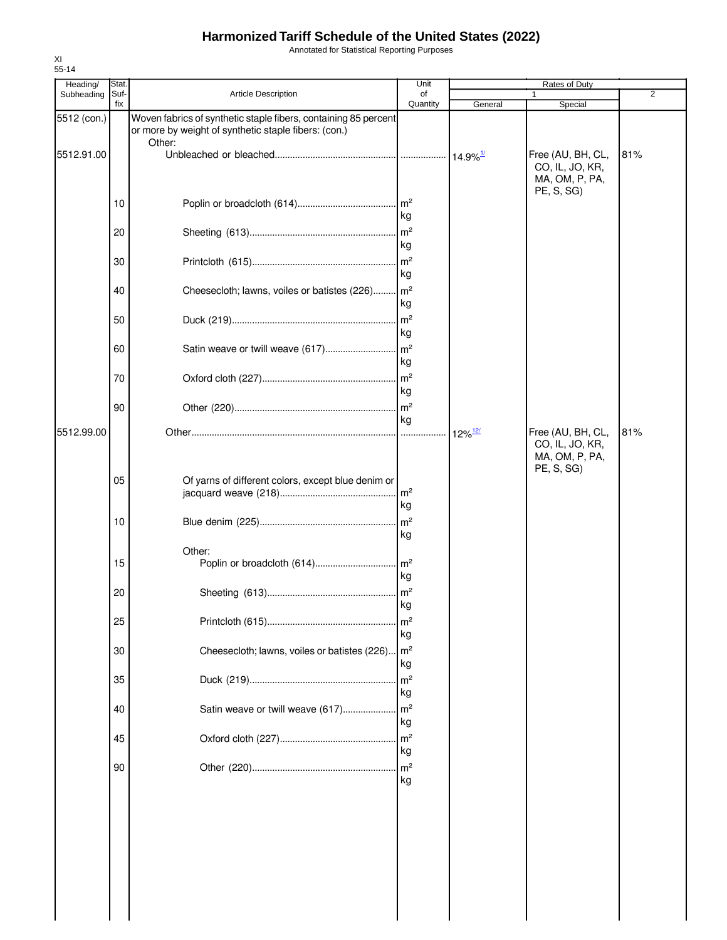Annotated for Statistical Reporting Purposes

| Heading/    | Stat.       |                                                                                                                                   | Unit                 |                       | Rates of Duty                                                        |                |
|-------------|-------------|-----------------------------------------------------------------------------------------------------------------------------------|----------------------|-----------------------|----------------------------------------------------------------------|----------------|
| Subheading  | Suf-<br>fix | Article Description                                                                                                               | of<br>Quantity       | General               | 1<br>Special                                                         | $\overline{2}$ |
| 5512 (con.) |             | Woven fabrics of synthetic staple fibers, containing 85 percent<br>or more by weight of synthetic staple fibers: (con.)<br>Other: |                      |                       |                                                                      |                |
| 5512.91.00  |             |                                                                                                                                   |                      |                       | Free (AU, BH, CL,<br>CO, IL, JO, KR,<br>MA, OM, P, PA,<br>PE, S, SG) | 81%            |
|             | 10          |                                                                                                                                   | kg                   |                       |                                                                      |                |
|             | 20          |                                                                                                                                   | kg                   |                       |                                                                      |                |
|             | 30          |                                                                                                                                   | kg                   |                       |                                                                      |                |
|             | 40          | Cheesecloth; lawns, voiles or batistes (226) m <sup>2</sup>                                                                       | kg                   |                       |                                                                      |                |
|             | 50          |                                                                                                                                   | kg                   |                       |                                                                      |                |
|             | 60          |                                                                                                                                   | kg                   |                       |                                                                      |                |
|             | 70          |                                                                                                                                   | kg                   |                       |                                                                      |                |
|             | 90          |                                                                                                                                   | kg                   |                       |                                                                      |                |
| 5512.99.00  |             |                                                                                                                                   |                      | $12\%$ <sup>12/</sup> | Free (AU, BH, CL,<br>CO, IL, JO, KR,<br>MA, OM, P, PA,<br>PE, S, SG) | 81%            |
|             | 05          | Of yarns of different colors, except blue denim or                                                                                | m <sup>2</sup><br>kg |                       |                                                                      |                |
|             | 10          |                                                                                                                                   | kg                   |                       |                                                                      |                |
|             | 15          | Other:                                                                                                                            | kg                   |                       |                                                                      |                |
|             | 20          |                                                                                                                                   | kg                   |                       |                                                                      |                |
|             | 25          |                                                                                                                                   | m <sup>2</sup><br>kg |                       |                                                                      |                |
|             | 30          | Cheesecloth; lawns, voiles or batistes (226)                                                                                      | m <sup>2</sup><br>kg |                       |                                                                      |                |
|             | 35          |                                                                                                                                   | m <sup>2</sup><br>kg |                       |                                                                      |                |
|             | 40          | Satin weave or twill weave (617)                                                                                                  | m <sup>2</sup><br>kg |                       |                                                                      |                |
|             | 45          |                                                                                                                                   | kg                   |                       |                                                                      |                |
|             | 90          |                                                                                                                                   | kg                   |                       |                                                                      |                |
|             |             |                                                                                                                                   |                      |                       |                                                                      |                |
|             |             |                                                                                                                                   |                      |                       |                                                                      |                |
|             |             |                                                                                                                                   |                      |                       |                                                                      |                |
|             |             |                                                                                                                                   |                      |                       |                                                                      |                |
|             |             |                                                                                                                                   |                      |                       |                                                                      |                |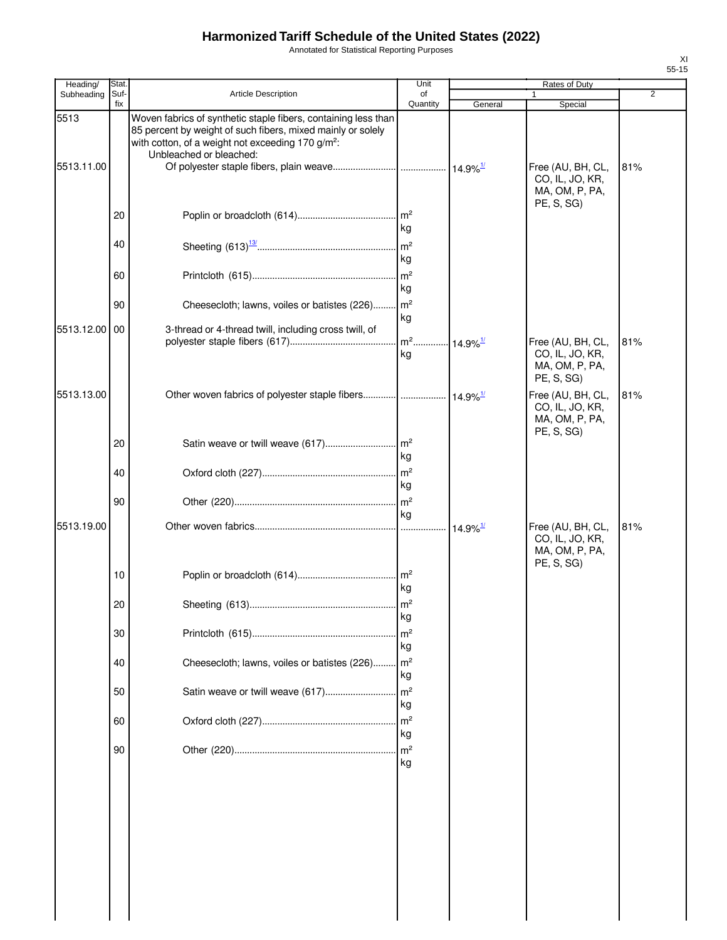Annotated for Statistical Reporting Purposes

| Heading/   | <b>Stat</b> |                                                                                                                                                                                                                           | Unit                               |                        | Rates of Duty                                                        |                |
|------------|-------------|---------------------------------------------------------------------------------------------------------------------------------------------------------------------------------------------------------------------------|------------------------------------|------------------------|----------------------------------------------------------------------|----------------|
| Subheading | Suf-<br>fix | <b>Article Description</b>                                                                                                                                                                                                | of<br>Quantity                     | General                | Special                                                              | $\overline{2}$ |
| 5513       |             | Woven fabrics of synthetic staple fibers, containing less than<br>85 percent by weight of such fibers, mixed mainly or solely<br>with cotton, of a weight not exceeding 170 g/m <sup>2</sup> :<br>Unbleached or bleached: |                                    |                        |                                                                      |                |
| 5513.11.00 |             |                                                                                                                                                                                                                           |                                    |                        | Free (AU, BH, CL,<br>CO, IL, JO, KR,<br>MA, OM, P, PA,<br>PE, S, SG) | 81%            |
|            | 20          |                                                                                                                                                                                                                           | $\mathsf{Im}^2$<br>kg              |                        |                                                                      |                |
|            | 40          |                                                                                                                                                                                                                           | kg                                 |                        |                                                                      |                |
|            | 60          |                                                                                                                                                                                                                           | m <sup>2</sup><br>kg               |                        |                                                                      |                |
|            | 90          | Cheesecloth; lawns, voiles or batistes (226)                                                                                                                                                                              | m <sup>2</sup><br>kg               |                        |                                                                      |                |
| 5513.12.00 | 00          | 3-thread or 4-thread twill, including cross twill, of                                                                                                                                                                     | m <sup>2</sup> 14.9% <sup>1/</sup> |                        | Free (AU, BH, CL,                                                    | 81%            |
|            |             |                                                                                                                                                                                                                           | kg                                 |                        | CO, IL, JO, KR,<br>MA, OM, P, PA,<br>PE, S, SG)                      |                |
| 5513.13.00 |             | Other woven fabrics of polyester staple fibers  14.9% <sup>1/</sup>                                                                                                                                                       |                                    |                        | Free (AU, BH, CL,<br>CO, IL, JO, KR,<br>MA, OM, P, PA,<br>PE, S, SG) | 81%            |
|            | 20          | Satin weave or twill weave (617)                                                                                                                                                                                          | $\mathsf{Im}^2$<br>kg              |                        |                                                                      |                |
|            | 40          |                                                                                                                                                                                                                           | kg                                 |                        |                                                                      |                |
|            | 90          |                                                                                                                                                                                                                           | kg                                 |                        |                                                                      |                |
| 5513.19.00 |             |                                                                                                                                                                                                                           |                                    | $14.9\%$ <sup>1/</sup> | Free (AU, BH, CL,<br>CO, IL, JO, KR,<br>MA, OM, P, PA,<br>PE, S, SG) | 81%            |
|            | 10          |                                                                                                                                                                                                                           | kg                                 |                        |                                                                      |                |
|            | 20          |                                                                                                                                                                                                                           | kg                                 |                        |                                                                      |                |
|            | 30          |                                                                                                                                                                                                                           | m <sup>2</sup><br>kg               |                        |                                                                      |                |
|            | 40          | Cheesecloth; lawns, voiles or batistes (226)                                                                                                                                                                              | $\mathsf{Im}^2$<br>kg              |                        |                                                                      |                |
|            | 50          | Satin weave or twill weave (617)                                                                                                                                                                                          | m <sup>2</sup><br>kg               |                        |                                                                      |                |
|            | 60          |                                                                                                                                                                                                                           | m <sup>2</sup><br>kg               |                        |                                                                      |                |
|            | 90          |                                                                                                                                                                                                                           | m <sup>2</sup><br>kg               |                        |                                                                      |                |
|            |             |                                                                                                                                                                                                                           |                                    |                        |                                                                      |                |
|            |             |                                                                                                                                                                                                                           |                                    |                        |                                                                      |                |
|            |             |                                                                                                                                                                                                                           |                                    |                        |                                                                      |                |
|            |             |                                                                                                                                                                                                                           |                                    |                        |                                                                      |                |
|            |             |                                                                                                                                                                                                                           |                                    |                        |                                                                      |                |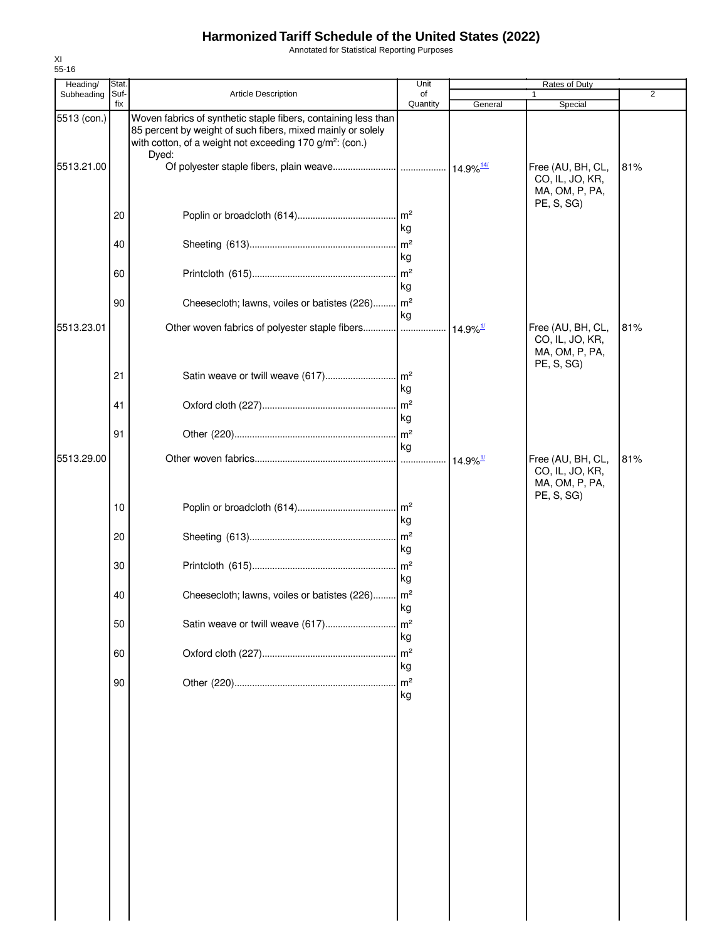Annotated for Statistical Reporting Purposes

| Heading/    | Stat.       |                                                                                                                                                                                                                | Unit                 |                        | Rates of Duty                                                        |                |
|-------------|-------------|----------------------------------------------------------------------------------------------------------------------------------------------------------------------------------------------------------------|----------------------|------------------------|----------------------------------------------------------------------|----------------|
| Subheading  | Suf-<br>fix | Article Description                                                                                                                                                                                            | of<br>Quantity       | General                | 1<br>Special                                                         | $\overline{2}$ |
| 5513 (con.) |             | Woven fabrics of synthetic staple fibers, containing less than<br>85 percent by weight of such fibers, mixed mainly or solely<br>with cotton, of a weight not exceeding 170 g/m <sup>2</sup> : (con.)<br>Dyed: |                      |                        |                                                                      |                |
| 5513.21.00  |             |                                                                                                                                                                                                                |                      |                        | Free (AU, BH, CL,<br>CO, IL, JO, KR,<br>MA, OM, P, PA,<br>PE, S, SG) | 81%            |
|             | 20          |                                                                                                                                                                                                                | kg                   |                        |                                                                      |                |
|             | 40          |                                                                                                                                                                                                                | m <sup>2</sup><br>kg |                        |                                                                      |                |
|             | 60          |                                                                                                                                                                                                                | kg                   |                        |                                                                      |                |
|             | 90          | Cheesecloth; lawns, voiles or batistes (226) m <sup>2</sup>                                                                                                                                                    | kg                   |                        |                                                                      |                |
| 5513.23.01  |             | Other woven fabrics of polyester staple fibers                                                                                                                                                                 |                      | $14.9\%$ <sup>1/</sup> | Free (AU, BH, CL,<br>CO, IL, JO, KR,<br>MA, OM, P, PA,<br>PE, S, SG) | 81%            |
|             | 21          |                                                                                                                                                                                                                | kg                   |                        |                                                                      |                |
|             | 41          |                                                                                                                                                                                                                | kg                   |                        |                                                                      |                |
|             | 91          |                                                                                                                                                                                                                | kg                   |                        |                                                                      |                |
| 5513.29.00  |             |                                                                                                                                                                                                                |                      | $14.9\%$ <sup>1/</sup> | Free (AU, BH, CL,<br>CO, IL, JO, KR,<br>MA, OM, P, PA,<br>PE, S, SG) | 81%            |
|             | 10          |                                                                                                                                                                                                                | kg                   |                        |                                                                      |                |
|             | 20          |                                                                                                                                                                                                                | kg                   |                        |                                                                      |                |
|             | 30          |                                                                                                                                                                                                                | kg                   |                        |                                                                      |                |
|             | 40          | Cheesecloth; lawns, voiles or batistes (226) m <sup>2</sup>                                                                                                                                                    | kg                   |                        |                                                                      |                |
|             | 50          | Satin weave or twill weave (617)                                                                                                                                                                               | m <sup>2</sup><br>kg |                        |                                                                      |                |
|             | 60          |                                                                                                                                                                                                                | kg                   |                        |                                                                      |                |
|             | 90          |                                                                                                                                                                                                                | m <sup>2</sup><br>kg |                        |                                                                      |                |
|             |             |                                                                                                                                                                                                                |                      |                        |                                                                      |                |
|             |             |                                                                                                                                                                                                                |                      |                        |                                                                      |                |
|             |             |                                                                                                                                                                                                                |                      |                        |                                                                      |                |
|             |             |                                                                                                                                                                                                                |                      |                        |                                                                      |                |
|             |             |                                                                                                                                                                                                                |                      |                        |                                                                      |                |
|             |             |                                                                                                                                                                                                                |                      |                        |                                                                      |                |
|             |             |                                                                                                                                                                                                                |                      |                        |                                                                      |                |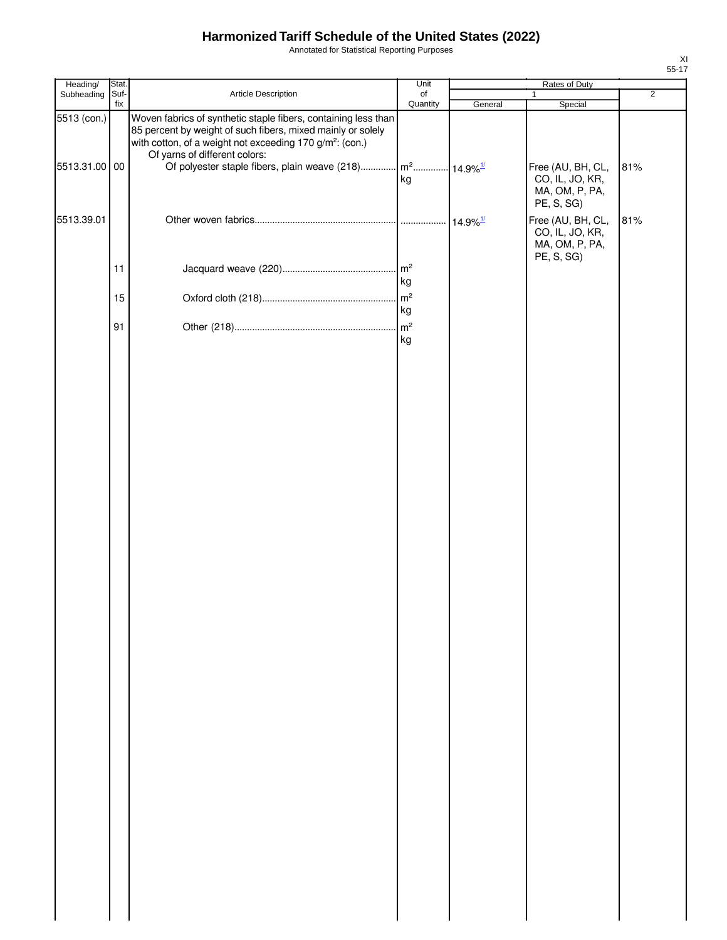Annotated for Statistical Reporting Purposes

| Stat.                                                                                                                                                                                                                                  | Unit                              | Rates of Duty                                                               |                                                                                                                     |                                         |
|----------------------------------------------------------------------------------------------------------------------------------------------------------------------------------------------------------------------------------------|-----------------------------------|-----------------------------------------------------------------------------|---------------------------------------------------------------------------------------------------------------------|-----------------------------------------|
|                                                                                                                                                                                                                                        |                                   |                                                                             | $\mathbf{1}$                                                                                                        | $\overline{2}$                          |
| Woven fabrics of synthetic staple fibers, containing less than<br>85 percent by weight of such fibers, mixed mainly or solely<br>with cotton, of a weight not exceeding 170 g/m <sup>2</sup> : (con.)<br>Of yarns of different colors: | kg                                |                                                                             | Free (AU, BH, CL,<br>CO, IL, JO, KR,                                                                                | 81%                                     |
|                                                                                                                                                                                                                                        |                                   |                                                                             | PE, S, SG)<br>Free (AU, BH, CL,<br>CO, IL, JO, KR,<br>MA, OM, P, PA,                                                | 81%                                     |
|                                                                                                                                                                                                                                        |                                   |                                                                             |                                                                                                                     |                                         |
|                                                                                                                                                                                                                                        |                                   |                                                                             |                                                                                                                     |                                         |
|                                                                                                                                                                                                                                        |                                   |                                                                             |                                                                                                                     |                                         |
|                                                                                                                                                                                                                                        |                                   |                                                                             |                                                                                                                     |                                         |
|                                                                                                                                                                                                                                        | Suf-<br>Article Description<br>15 | $\circ$ f<br>Quantity<br>m <sup>2</sup><br>kg<br>m <sup>2</sup><br>kg<br>kg | General<br>Of polyester staple fibers, plain weave (218) $\left  m^2$ 14.9% <sup>1/</sup><br>$14.9\%$ <sup>1/</sup> | Special<br>MA, OM, P, PA,<br>PE, S, SG) |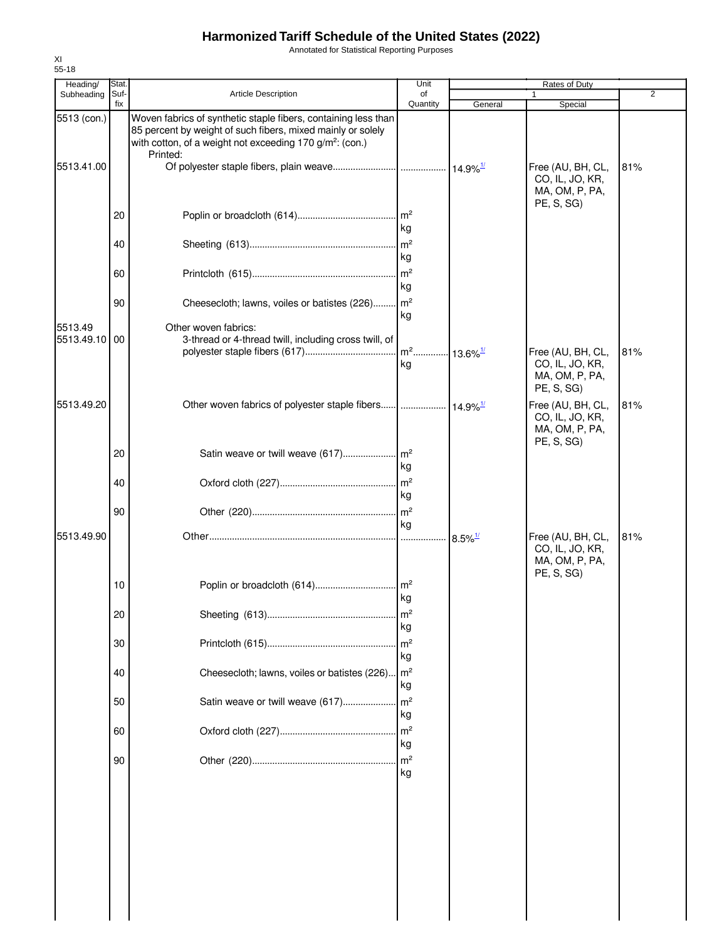Annotated for Statistical Reporting Purposes

| Heading/                 | Stat.       |                                                                                                                                                                                                                   | Unit                               | Rates of Duty         |                                                                      |                |  |
|--------------------------|-------------|-------------------------------------------------------------------------------------------------------------------------------------------------------------------------------------------------------------------|------------------------------------|-----------------------|----------------------------------------------------------------------|----------------|--|
| Subheading               | Suf-<br>fix | <b>Article Description</b>                                                                                                                                                                                        | of<br>Quantity                     | General               | 1.<br>Special                                                        | $\overline{2}$ |  |
| 5513 (con.)              |             | Woven fabrics of synthetic staple fibers, containing less than<br>85 percent by weight of such fibers, mixed mainly or solely<br>with cotton, of a weight not exceeding 170 g/m <sup>2</sup> : (con.)<br>Printed: |                                    |                       |                                                                      |                |  |
| 5513.41.00               |             |                                                                                                                                                                                                                   |                                    |                       | Free (AU, BH, CL,<br>CO, IL, JO, KR,<br>MA, OM, P, PA,<br>PE, S, SG) | 81%            |  |
|                          | 20          |                                                                                                                                                                                                                   | . $\mathsf{Im}^2$<br>kg            |                       |                                                                      |                |  |
|                          | 40          |                                                                                                                                                                                                                   | $\mathsf{m}^2$<br>kg               |                       |                                                                      |                |  |
|                          | 60          |                                                                                                                                                                                                                   | $\mathsf{Im}^2$<br>kg              |                       |                                                                      |                |  |
|                          | 90          | Cheesecloth; lawns, voiles or batistes (226)                                                                                                                                                                      | $\mathsf{Im}^2$<br>kg              |                       |                                                                      |                |  |
| 5513.49<br>5513.49.10 00 |             | Other woven fabrics:<br>3-thread or 4-thread twill, including cross twill, of                                                                                                                                     | m <sup>2</sup> 13.6% <sup>1/</sup> |                       | Free (AU, BH, CL,                                                    | 81%            |  |
|                          |             |                                                                                                                                                                                                                   | kg                                 |                       | CO, IL, JO, KR,<br>MA, OM, P, PA,<br>PE, S, SG)                      |                |  |
| 5513.49.20               |             |                                                                                                                                                                                                                   |                                    |                       | Free (AU, BH, CL,<br>CO, IL, JO, KR,<br>MA, OM, P, PA,<br>PE, S, SG) | 81%            |  |
|                          | 20          |                                                                                                                                                                                                                   | kg                                 |                       |                                                                      |                |  |
|                          | 40          |                                                                                                                                                                                                                   | m <sup>2</sup><br>kg               |                       |                                                                      |                |  |
|                          | 90          |                                                                                                                                                                                                                   | m <sup>2</sup><br>kg               |                       |                                                                      |                |  |
| 5513.49.90               |             |                                                                                                                                                                                                                   |                                    | $8.5\%$ <sup>1/</sup> | Free (AU, BH, CL,<br>CO, IL, JO, KR,<br>MA, OM, P, PA,<br>PE, S, SG) | 81%            |  |
|                          | 10          |                                                                                                                                                                                                                   | $\mathsf{Im}^2$<br>kg              |                       |                                                                      |                |  |
|                          | 20          |                                                                                                                                                                                                                   | $\mathsf{Im}^2$<br>kg              |                       |                                                                      |                |  |
|                          | 30          |                                                                                                                                                                                                                   | m <sup>2</sup><br>kg               |                       |                                                                      |                |  |
|                          | 40          | Cheesecloth; lawns, voiles or batistes (226)                                                                                                                                                                      | $\mathsf{Im}^2$<br>kg              |                       |                                                                      |                |  |
|                          | 50          | Satin weave or twill weave (617)                                                                                                                                                                                  | m <sup>2</sup><br>kg               |                       |                                                                      |                |  |
|                          | 60          |                                                                                                                                                                                                                   | m <sup>2</sup><br>kg               |                       |                                                                      |                |  |
|                          | 90          |                                                                                                                                                                                                                   | m <sup>2</sup><br>kg               |                       |                                                                      |                |  |
|                          |             |                                                                                                                                                                                                                   |                                    |                       |                                                                      |                |  |
|                          |             |                                                                                                                                                                                                                   |                                    |                       |                                                                      |                |  |
|                          |             |                                                                                                                                                                                                                   |                                    |                       |                                                                      |                |  |
|                          |             |                                                                                                                                                                                                                   |                                    |                       |                                                                      |                |  |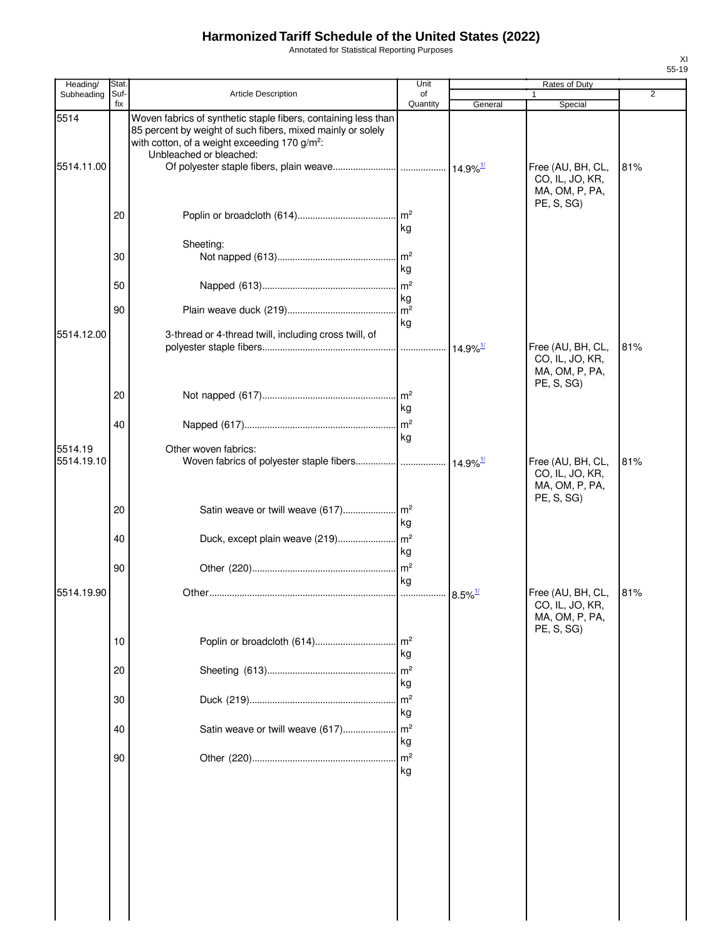Annotated for Statistical Reporting Purposes

| Heading/   | Stat        |                                                                                                                                                                                                                       | Unit                  | Rates of Duty          |                                                                      |     |  |
|------------|-------------|-----------------------------------------------------------------------------------------------------------------------------------------------------------------------------------------------------------------------|-----------------------|------------------------|----------------------------------------------------------------------|-----|--|
| Subheading | Suf-<br>fix | Article Description                                                                                                                                                                                                   | of<br>Quantity        | General                | Special                                                              | 2   |  |
| 5514       |             | Woven fabrics of synthetic staple fibers, containing less than<br>85 percent by weight of such fibers, mixed mainly or solely<br>with cotton, of a weight exceeding 170 g/m <sup>2</sup> :<br>Unbleached or bleached: |                       |                        |                                                                      |     |  |
| 5514.11.00 | 20          |                                                                                                                                                                                                                       | $\mathsf{Im}^2$       |                        | Free (AU, BH, CL,<br>CO, IL, JO, KR,<br>MA, OM, P, PA,<br>PE, S, SG) | 81% |  |
|            |             |                                                                                                                                                                                                                       | kg                    |                        |                                                                      |     |  |
|            | 30          | Sheeting:                                                                                                                                                                                                             | m <sup>2</sup><br>kg  |                        |                                                                      |     |  |
|            | 50          |                                                                                                                                                                                                                       | $\mathsf{Im}^2$<br>kg |                        |                                                                      |     |  |
|            | 90          |                                                                                                                                                                                                                       | m <sup>2</sup><br>kg  |                        |                                                                      |     |  |
| 5514.12.00 |             | 3-thread or 4-thread twill, including cross twill, of                                                                                                                                                                 |                       | $14.9\%$ <sup>1/</sup> | Free (AU, BH, CL,<br>CO, IL, JO, KR,<br>MA, OM, P, PA,               | 81% |  |
|            | 20          |                                                                                                                                                                                                                       | kg                    |                        | <b>PE, S, SG)</b>                                                    |     |  |
| 5514.19    | 40          | Other woven fabrics:                                                                                                                                                                                                  | kg                    |                        |                                                                      |     |  |
| 5514.19.10 |             |                                                                                                                                                                                                                       |                       |                        | Free (AU, BH, CL,<br>CO, IL, JO, KR,<br>MA, OM, P, PA,<br>PE, S, SG) | 81% |  |
|            | 20          | Satin weave or twill weave (617)                                                                                                                                                                                      | $\mathsf{Im}^2$<br>kg |                        |                                                                      |     |  |
|            | 40          |                                                                                                                                                                                                                       | kg                    |                        |                                                                      |     |  |
|            | 90          |                                                                                                                                                                                                                       | $\mathsf{m}^2$<br>kg  |                        |                                                                      |     |  |
| 5514.19.90 |             |                                                                                                                                                                                                                       |                       | $8.5\%$ <sup>1/</sup>  | Free (AU, BH, CL,<br>CO, IL, JO, KR,<br>MA, OM, P, PA,<br>PE, S, SG) | 81% |  |
|            | 10          | Poplin or broadcloth (614)                                                                                                                                                                                            | m <sup>2</sup><br>kg  |                        |                                                                      |     |  |
|            | 20          |                                                                                                                                                                                                                       | m <sup>2</sup><br>kg  |                        |                                                                      |     |  |
|            | 30          |                                                                                                                                                                                                                       | m <sup>2</sup><br>kg  |                        |                                                                      |     |  |
|            | 40          | Satin weave or twill weave (617)                                                                                                                                                                                      | m <sup>2</sup><br>kg  |                        |                                                                      |     |  |
|            | 90          |                                                                                                                                                                                                                       | m <sup>2</sup><br>kg  |                        |                                                                      |     |  |
|            |             |                                                                                                                                                                                                                       |                       |                        |                                                                      |     |  |
|            |             |                                                                                                                                                                                                                       |                       |                        |                                                                      |     |  |
|            |             |                                                                                                                                                                                                                       |                       |                        |                                                                      |     |  |
|            |             |                                                                                                                                                                                                                       |                       |                        |                                                                      |     |  |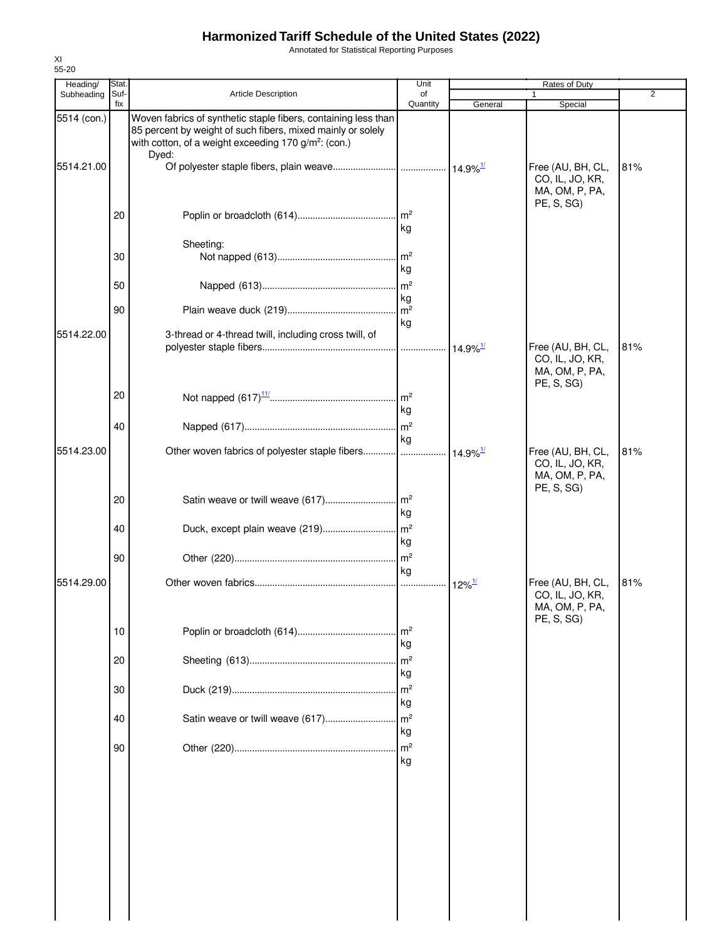Annotated for Statistical Reporting Purposes

| Heading/    | Stat.       |                                                                                                                                                                                                            | Unit                       |                        | Rates of Duty                                                        |                |
|-------------|-------------|------------------------------------------------------------------------------------------------------------------------------------------------------------------------------------------------------------|----------------------------|------------------------|----------------------------------------------------------------------|----------------|
| Subheading  | Suf-<br>fix | Article Description                                                                                                                                                                                        | of<br>Quantity             | General                | 1<br>Special                                                         | $\overline{2}$ |
| 5514 (con.) |             | Woven fabrics of synthetic staple fibers, containing less than<br>85 percent by weight of such fibers, mixed mainly or solely<br>with cotton, of a weight exceeding 170 g/m <sup>2</sup> : (con.)<br>Dyed: |                            |                        |                                                                      |                |
| 5514.21.00  |             |                                                                                                                                                                                                            |                            |                        | Free (AU, BH, CL,<br>CO, IL, JO, KR,<br>MA, OM, P, PA,<br>PE, S, SG) | 81%            |
|             | 20          |                                                                                                                                                                                                            | . $\mathsf{Im}^2$<br>kg    |                        |                                                                      |                |
|             |             | Sheeting:                                                                                                                                                                                                  |                            |                        |                                                                      |                |
|             | 30          |                                                                                                                                                                                                            | $\mathsf{Im}^2$<br>kg      |                        |                                                                      |                |
|             | 50          |                                                                                                                                                                                                            | $\mathsf{Im}^2$            |                        |                                                                      |                |
|             | 90          |                                                                                                                                                                                                            | kg<br>$\mathsf{m}^2$<br>kg |                        |                                                                      |                |
| 5514.22.00  |             | 3-thread or 4-thread twill, including cross twill, of                                                                                                                                                      |                            |                        |                                                                      |                |
|             |             |                                                                                                                                                                                                            |                            | $14.9\%$ <sup>1/</sup> | Free (AU, BH, CL,<br>CO, IL, JO, KR,<br>MA, OM, P, PA,<br>PE, S, SG) | 81%            |
|             | 20          |                                                                                                                                                                                                            | $\mathsf{Im}^2$<br>kg      |                        |                                                                      |                |
|             | 40          |                                                                                                                                                                                                            | m <sup>2</sup><br>kg       |                        |                                                                      |                |
| 5514.23.00  |             |                                                                                                                                                                                                            |                            | $14.9\%$ <sup>1/</sup> | Free (AU, BH, CL,<br>CO, IL, JO, KR,<br>MA, OM, P, PA,<br>PE, S, SG) | 81%            |
|             | 20          |                                                                                                                                                                                                            | kg                         |                        |                                                                      |                |
|             | 40          | Duck, except plain weave (219)                                                                                                                                                                             | m <sup>2</sup><br>kg       |                        |                                                                      |                |
|             | 90          |                                                                                                                                                                                                            | $\mathsf{Im}^2$<br>kg      |                        |                                                                      |                |
| 5514.29.00  |             |                                                                                                                                                                                                            | .                          | $12\%$ <sup>1/</sup>   | Free (AU, BH, CL,<br>CO, IL, JO, KR,<br>MA, OM, P, PA,<br>PE, S, SG) | 81%            |
|             | 10          |                                                                                                                                                                                                            | $\mathsf{Im}^2$<br>kg      |                        |                                                                      |                |
|             | 20          |                                                                                                                                                                                                            | m <sup>2</sup><br>kg       |                        |                                                                      |                |
|             | 30          |                                                                                                                                                                                                            | m <sup>2</sup><br>kg       |                        |                                                                      |                |
|             | 40          | Satin weave or twill weave (617)                                                                                                                                                                           | m <sup>2</sup><br>kg       |                        |                                                                      |                |
|             | 90          |                                                                                                                                                                                                            | m <sup>2</sup><br>kg       |                        |                                                                      |                |
|             |             |                                                                                                                                                                                                            |                            |                        |                                                                      |                |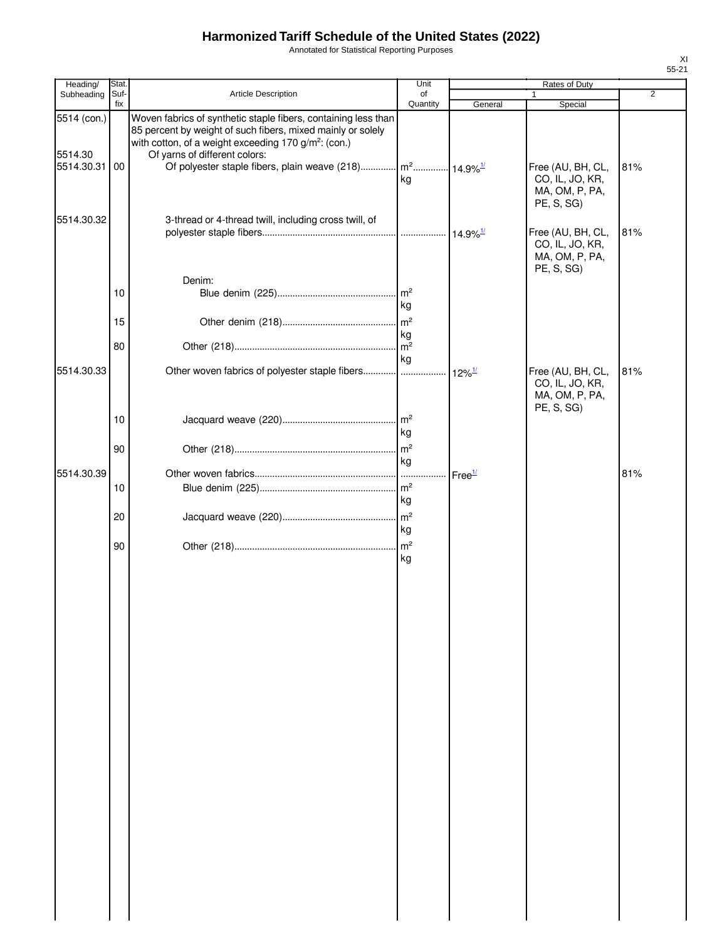Annotated for Statistical Reporting Purposes

| Heading/                             | Stat.           |                                                                                                                                                                                                                                                                                                                 | Unit                  |                      | Rates of Duty                                                        |                |
|--------------------------------------|-----------------|-----------------------------------------------------------------------------------------------------------------------------------------------------------------------------------------------------------------------------------------------------------------------------------------------------------------|-----------------------|----------------------|----------------------------------------------------------------------|----------------|
| Subheading                           | Suf-<br>fix     | Article Description                                                                                                                                                                                                                                                                                             | of<br>Quantity        | General              | 1<br>Special                                                         | $\overline{2}$ |
| 5514 (con.)<br>5514.30<br>5514.30.31 | 00 <sub>1</sub> | Woven fabrics of synthetic staple fibers, containing less than<br>85 percent by weight of such fibers, mixed mainly or solely<br>with cotton, of a weight exceeding 170 g/m <sup>2</sup> : (con.)<br>Of yarns of different colors:<br>Of polyester staple fibers, plain weave (218) $\left  m^2 \right  14.9\%$ | kg                    |                      | Free (AU, BH, CL,<br>CO, IL, JO, KR,<br>MA, OM, P, PA,<br>PE, S, SG) | 81%            |
| 5514.30.32                           |                 | 3-thread or 4-thread twill, including cross twill, of                                                                                                                                                                                                                                                           |                       |                      | Free (AU, BH, CL,<br>CO, IL, JO, KR,<br>MA, OM, P, PA,<br>PE, S, SG) | 81%            |
|                                      | 10              | Denim:                                                                                                                                                                                                                                                                                                          | $\mathsf{Im}^2$<br>kg |                      |                                                                      |                |
|                                      | 15              |                                                                                                                                                                                                                                                                                                                 | m <sup>2</sup><br>kg  |                      |                                                                      |                |
|                                      | 80              |                                                                                                                                                                                                                                                                                                                 | m <sup>2</sup>        |                      |                                                                      |                |
| 5514.30.33                           |                 |                                                                                                                                                                                                                                                                                                                 | kg                    | $12\%$ <sup>1/</sup> | Free (AU, BH, CL,<br>CO, IL, JO, KR,<br>MA, OM, P, PA,<br>PE, S, SG) | 81%            |
|                                      | 10              |                                                                                                                                                                                                                                                                                                                 | kg                    |                      |                                                                      |                |
|                                      | 90              |                                                                                                                                                                                                                                                                                                                 | kg                    |                      |                                                                      |                |
| 5514.30.39                           | 10              |                                                                                                                                                                                                                                                                                                                 | 1.                    | Free <sup>1/</sup>   |                                                                      | 81%            |
|                                      | 20              |                                                                                                                                                                                                                                                                                                                 | kg                    |                      |                                                                      |                |
|                                      | 90              |                                                                                                                                                                                                                                                                                                                 | kg                    |                      |                                                                      |                |
|                                      |                 |                                                                                                                                                                                                                                                                                                                 | kg                    |                      |                                                                      |                |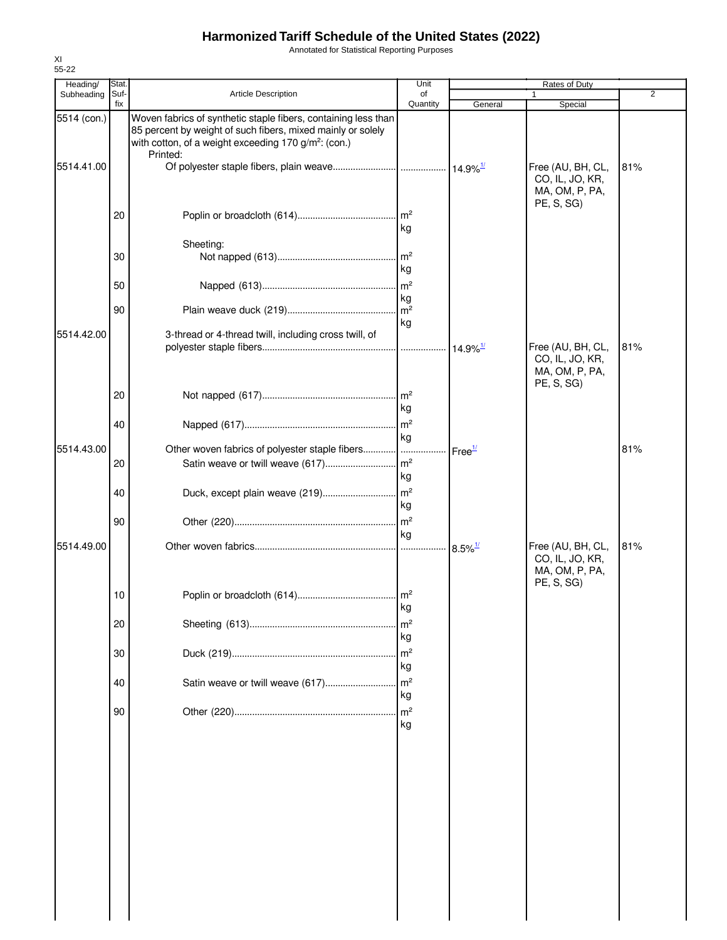Annotated for Statistical Reporting Purposes

| Heading/    | Stat.       |                                                                                                                                                                                                               | Unit                  |                        | Rates of Duty                                                        |     |
|-------------|-------------|---------------------------------------------------------------------------------------------------------------------------------------------------------------------------------------------------------------|-----------------------|------------------------|----------------------------------------------------------------------|-----|
| Subheading  | Suf-<br>fix | <b>Article Description</b>                                                                                                                                                                                    | of<br>Quantity        | General                | 1<br>Special                                                         | 2   |
| 5514 (con.) |             | Woven fabrics of synthetic staple fibers, containing less than<br>85 percent by weight of such fibers, mixed mainly or solely<br>with cotton, of a weight exceeding 170 g/m <sup>2</sup> : (con.)<br>Printed: |                       |                        |                                                                      |     |
| 5514.41.00  |             |                                                                                                                                                                                                               |                       |                        | Free (AU, BH, CL,<br>CO, IL, JO, KR,<br>MA, OM, P, PA,<br>PE, S, SG  | 81% |
|             | 20          |                                                                                                                                                                                                               | kg                    |                        |                                                                      |     |
|             | 30          | Sheeting:                                                                                                                                                                                                     | $\mathsf{Im}^2$<br>kg |                        |                                                                      |     |
|             | 50          |                                                                                                                                                                                                               | kg                    |                        |                                                                      |     |
|             | 90          |                                                                                                                                                                                                               | kg                    |                        |                                                                      |     |
| 5514.42.00  |             | 3-thread or 4-thread twill, including cross twill, of                                                                                                                                                         |                       | $14.9\%$ <sup>1/</sup> | Free (AU, BH, CL,<br>CO, IL, JO, KR,<br>MA, OM, P, PA,<br>PE, S, SG) | 81% |
|             | 20          |                                                                                                                                                                                                               | kg                    |                        |                                                                      |     |
| 5514.43.00  | 40          | Other woven fabrics of polyester staple fibers                                                                                                                                                                | kg                    | Free <sup>1/</sup>     |                                                                      | 81% |
|             | 20          |                                                                                                                                                                                                               | kg                    |                        |                                                                      |     |
|             | 40          |                                                                                                                                                                                                               | kg                    |                        |                                                                      |     |
|             | 90          |                                                                                                                                                                                                               | kg                    |                        |                                                                      |     |
| 5514.49.00  |             |                                                                                                                                                                                                               |                       | $8.5\%$ <sup>1/</sup>  | Free (AU, BH, CL,<br>CO, IL, JO, KR,<br>MA, OM, P, PA,<br>PE, S, SG) | 81% |
|             | 10          |                                                                                                                                                                                                               | kg                    |                        |                                                                      |     |
|             | 20          |                                                                                                                                                                                                               | $\mathsf{Im}^2$<br>kg |                        |                                                                      |     |
|             | 30          |                                                                                                                                                                                                               | $\mathsf{m}^2$<br>kg  |                        |                                                                      |     |
|             | 40          | Satin weave or twill weave (617)                                                                                                                                                                              | m <sup>2</sup><br>kg  |                        |                                                                      |     |
|             | 90          |                                                                                                                                                                                                               | m <sup>2</sup><br>kg  |                        |                                                                      |     |
|             |             |                                                                                                                                                                                                               |                       |                        |                                                                      |     |
|             |             |                                                                                                                                                                                                               |                       |                        |                                                                      |     |
|             |             |                                                                                                                                                                                                               |                       |                        |                                                                      |     |
|             |             |                                                                                                                                                                                                               |                       |                        |                                                                      |     |
|             |             |                                                                                                                                                                                                               |                       |                        |                                                                      |     |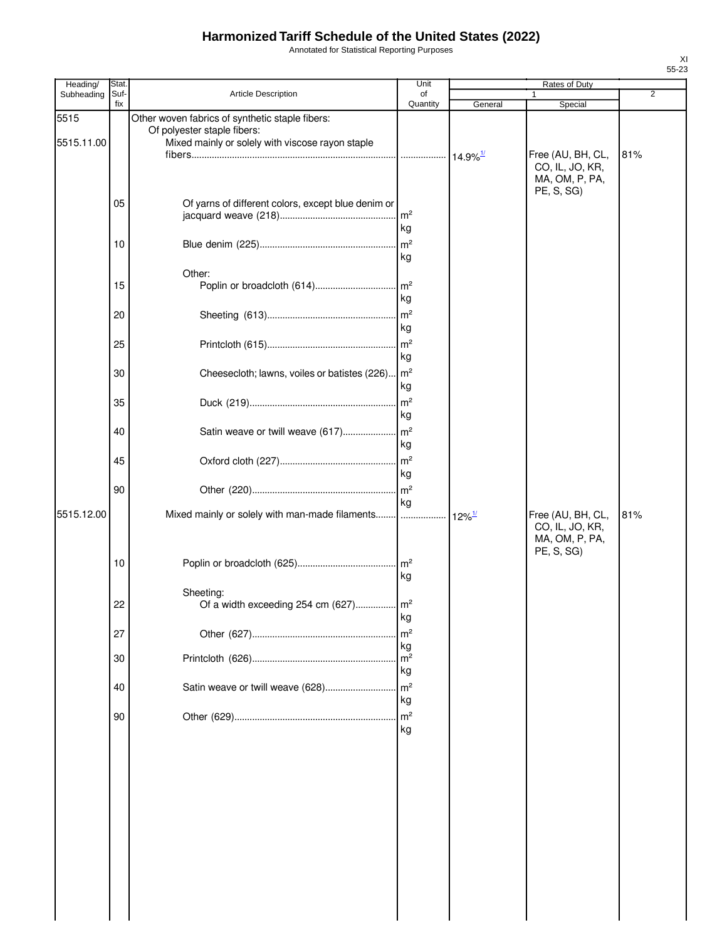Annotated for Statistical Reporting Purposes

| Heading/           | Stat.       |                                                                                                                                    | Unit                                   |                      | Rates of Duty                                                        |                |
|--------------------|-------------|------------------------------------------------------------------------------------------------------------------------------------|----------------------------------------|----------------------|----------------------------------------------------------------------|----------------|
| Subheading         | Suf-<br>fix | Article Description                                                                                                                | of<br>Quantity                         | General              | 1<br>Special                                                         | $\overline{2}$ |
| 5515<br>5515.11.00 |             | Other woven fabrics of synthetic staple fibers:<br>Of polyester staple fibers:<br>Mixed mainly or solely with viscose rayon staple |                                        |                      | Free (AU, BH, CL,<br>CO, IL, JO, KR,<br>MA, OM, P, PA,               | 81%            |
|                    | 05          | Of yarns of different colors, except blue denim or                                                                                 | m <sup>2</sup><br>kg                   |                      | PE, S, SG)                                                           |                |
|                    | 10          |                                                                                                                                    | m <sup>2</sup><br>kg                   |                      |                                                                      |                |
|                    | 15          | Other:                                                                                                                             | $\mathsf{Im}^2$<br>kg                  |                      |                                                                      |                |
|                    | 20          |                                                                                                                                    | m <sup>2</sup><br>kg                   |                      |                                                                      |                |
|                    | 25          |                                                                                                                                    | m <sup>2</sup><br>kg                   |                      |                                                                      |                |
|                    | 30          | Cheesecloth; lawns, voiles or batistes (226).                                                                                      | m <sup>2</sup><br>kg                   |                      |                                                                      |                |
|                    | 35          |                                                                                                                                    | m <sup>2</sup><br>kg                   |                      |                                                                      |                |
|                    | 40          | Satin weave or twill weave (617)                                                                                                   | $\mathsf{m}^2$<br>kg                   |                      |                                                                      |                |
|                    | 45          |                                                                                                                                    | $\mathsf{m}^2$<br>kg                   |                      |                                                                      |                |
|                    | 90          |                                                                                                                                    | m <sup>2</sup><br>kg                   |                      |                                                                      |                |
| 5515.12.00         |             | Mixed mainly or solely with man-made filaments                                                                                     |                                        | $12\%$ <sup>1/</sup> | Free (AU, BH, CL,<br>CO, IL, JO, KR,<br>MA, OM, P, PA,<br>PE, S, SG) | 81%            |
|                    | 10          |                                                                                                                                    | $\mathsf{Im}^2$<br>kg                  |                      |                                                                      |                |
|                    | 22          | Sheeting:<br>Of a width exceeding 254 cm (627) m <sup>2</sup>                                                                      | kg                                     |                      |                                                                      |                |
|                    | 27          |                                                                                                                                    | m <sup>2</sup><br>kg                   |                      |                                                                      |                |
|                    | 30          |                                                                                                                                    | m <sup>2</sup><br>kg<br>m <sup>2</sup> |                      |                                                                      |                |
|                    | 40          | Satin weave or twill weave (628)                                                                                                   | kg<br>m <sup>2</sup>                   |                      |                                                                      |                |
|                    | 90          |                                                                                                                                    | kg                                     |                      |                                                                      |                |
|                    |             |                                                                                                                                    |                                        |                      |                                                                      |                |
|                    |             |                                                                                                                                    |                                        |                      |                                                                      |                |
|                    |             |                                                                                                                                    |                                        |                      |                                                                      |                |
|                    |             |                                                                                                                                    |                                        |                      |                                                                      |                |
|                    |             |                                                                                                                                    |                                        |                      |                                                                      |                |
|                    |             |                                                                                                                                    |                                        |                      |                                                                      |                |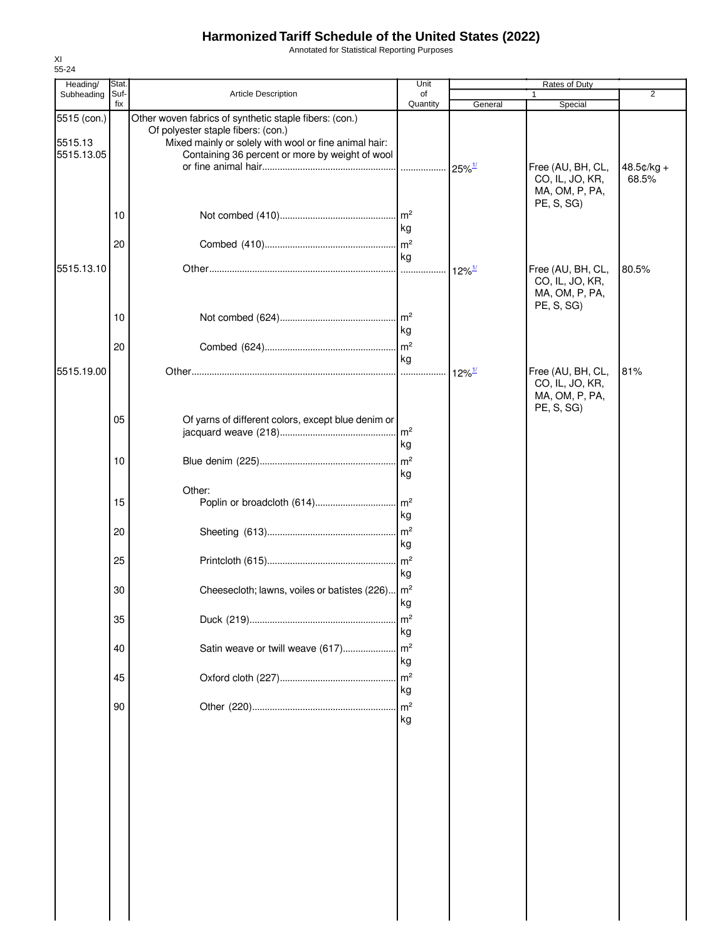Annotated for Statistical Reporting Purposes

| Heading/                             | Stat.       |                                                                                                                                                                                                          | Unit                 |                      | Rates of Duty                                                        |                     |
|--------------------------------------|-------------|----------------------------------------------------------------------------------------------------------------------------------------------------------------------------------------------------------|----------------------|----------------------|----------------------------------------------------------------------|---------------------|
| Subheading                           | Suf-<br>fix | Article Description                                                                                                                                                                                      | of<br>Quantity       | General              | 1<br>Special                                                         | $\overline{2}$      |
| 5515 (con.)<br>5515.13<br>5515.13.05 |             | Other woven fabrics of synthetic staple fibers: (con.)<br>Of polyester staple fibers: (con.)<br>Mixed mainly or solely with wool or fine animal hair:<br>Containing 36 percent or more by weight of wool |                      | $25\%$ <sup>1/</sup> | Free (AU, BH, CL,<br>CO, IL, JO, KR,<br>MA, OM, P, PA,               | 48.5¢/kg +<br>68.5% |
|                                      | 10          |                                                                                                                                                                                                          | kg                   |                      | PE, S, SG)                                                           |                     |
|                                      | 20          |                                                                                                                                                                                                          | kg                   |                      |                                                                      |                     |
| 5515.13.10                           |             |                                                                                                                                                                                                          |                      | $12\%$ <sup>1/</sup> | Free (AU, BH, CL,<br>CO, IL, JO, KR,<br>MA, OM, P, PA,<br>PE, S, SG) | 80.5%               |
|                                      | 10          |                                                                                                                                                                                                          | kg                   |                      |                                                                      |                     |
|                                      | 20          |                                                                                                                                                                                                          | kg                   |                      |                                                                      |                     |
| 5515.19.00                           |             |                                                                                                                                                                                                          |                      | $12\%$ <sup>1/</sup> | Free (AU, BH, CL,<br>CO, IL, JO, KR,<br>MA, OM, P, PA,<br>PE, S, SG) | 81%                 |
|                                      | 05          | Of yarns of different colors, except blue denim or                                                                                                                                                       | kg                   |                      |                                                                      |                     |
|                                      | 10          |                                                                                                                                                                                                          | kg                   |                      |                                                                      |                     |
|                                      | 15          | Other:                                                                                                                                                                                                   | kg                   |                      |                                                                      |                     |
|                                      | 20          |                                                                                                                                                                                                          | kg                   |                      |                                                                      |                     |
|                                      | 25          |                                                                                                                                                                                                          | kg                   |                      |                                                                      |                     |
|                                      | 30          | Cheesecloth; lawns, voiles or batistes (226) m <sup>2</sup>                                                                                                                                              | kg                   |                      |                                                                      |                     |
|                                      | 35          |                                                                                                                                                                                                          | m <sup>2</sup><br>kg |                      |                                                                      |                     |
|                                      | 40          | Satin weave or twill weave (617)                                                                                                                                                                         | m <sup>2</sup><br>kg |                      |                                                                      |                     |
|                                      | 45          |                                                                                                                                                                                                          | m <sup>2</sup><br>kg |                      |                                                                      |                     |
|                                      | 90          |                                                                                                                                                                                                          | m <sup>2</sup><br>kg |                      |                                                                      |                     |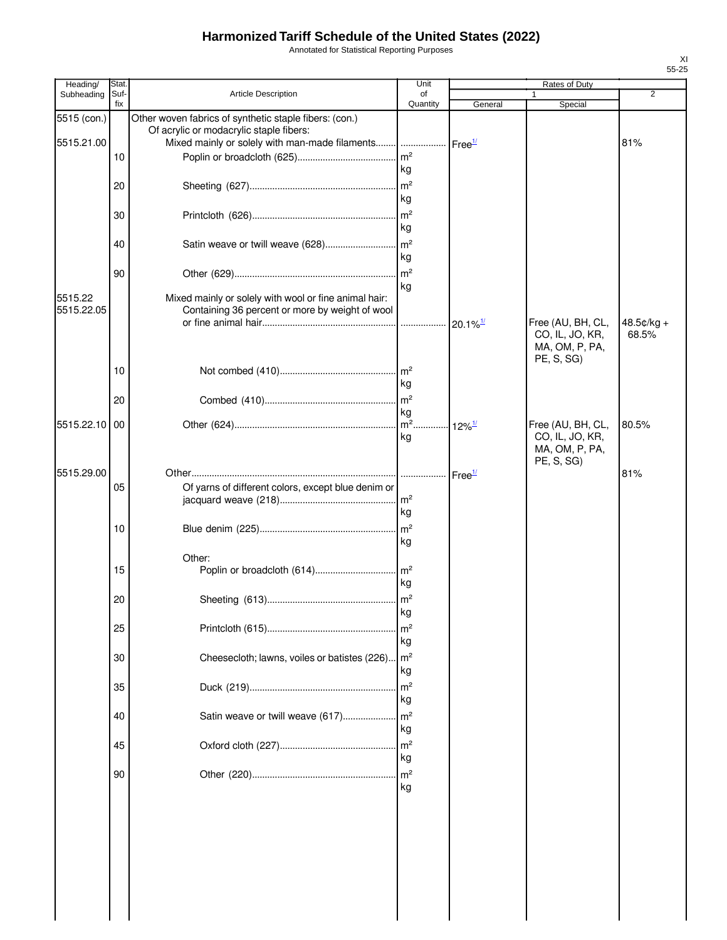Annotated for Statistical Reporting Purposes

| Heading/                  | Stat.       |                                                                                                                                                                           | Unit                 |                           | Rates of Duty                                                        |              |
|---------------------------|-------------|---------------------------------------------------------------------------------------------------------------------------------------------------------------------------|----------------------|---------------------------|----------------------------------------------------------------------|--------------|
| Subheading                | Suf-<br>fix | Article Description                                                                                                                                                       | of<br>Quantity       | General                   | 1<br>Special                                                         | 2            |
| 5515 (con.)<br>5515.21.00 |             | Other woven fabrics of synthetic staple fibers: (con.)<br>Of acrylic or modacrylic staple fibers:<br>Mixed mainly or solely with man-made filaments    Free <sup>1/</sup> |                      |                           |                                                                      | 81%          |
|                           | 10          |                                                                                                                                                                           | m <sup>2</sup>       |                           |                                                                      |              |
|                           |             |                                                                                                                                                                           | kg                   |                           |                                                                      |              |
|                           | 20          |                                                                                                                                                                           |                      |                           |                                                                      |              |
|                           |             |                                                                                                                                                                           | kg<br>m <sup>2</sup> |                           |                                                                      |              |
|                           | 30          |                                                                                                                                                                           | kg                   |                           |                                                                      |              |
|                           | 40          |                                                                                                                                                                           |                      |                           |                                                                      |              |
|                           |             |                                                                                                                                                                           | kg                   |                           |                                                                      |              |
|                           | 90          |                                                                                                                                                                           | $\mathsf{Im}^2$      |                           |                                                                      |              |
| 5515.22<br>5515.22.05     |             | Mixed mainly or solely with wool or fine animal hair:<br>Containing 36 percent or more by weight of wool                                                                  | kg                   |                           | Free (AU, BH, CL,                                                    | $48.5¢/kg +$ |
|                           |             |                                                                                                                                                                           |                      |                           | CO, IL, JO, KR,<br>MA, OM, P, PA,<br>PE, S, SG)                      | 68.5%        |
|                           | 10          |                                                                                                                                                                           |                      |                           |                                                                      |              |
|                           |             |                                                                                                                                                                           | kg                   |                           |                                                                      |              |
|                           | 20          |                                                                                                                                                                           | kg                   |                           |                                                                      |              |
| 5515.22.10 00             |             |                                                                                                                                                                           | kg                   | $\cdot$ 12% $\frac{1}{2}$ | Free (AU, BH, CL,<br>CO, IL, JO, KR,<br>MA, OM, P, PA,<br>PE, S, SG) | 80.5%        |
| 5515.29.00                |             |                                                                                                                                                                           |                      | Free <sup>1/</sup>        |                                                                      | 81%          |
|                           | 05          | Of yarns of different colors, except blue denim or                                                                                                                        |                      |                           |                                                                      |              |
|                           |             |                                                                                                                                                                           | kg                   |                           |                                                                      |              |
|                           | 10          |                                                                                                                                                                           |                      |                           |                                                                      |              |
|                           |             |                                                                                                                                                                           | kg                   |                           |                                                                      |              |
|                           | 15          | Other:                                                                                                                                                                    |                      |                           |                                                                      |              |
|                           |             |                                                                                                                                                                           | kg                   |                           |                                                                      |              |
|                           | 20          |                                                                                                                                                                           |                      |                           |                                                                      |              |
|                           |             |                                                                                                                                                                           | kg                   |                           |                                                                      |              |
|                           | 25          |                                                                                                                                                                           | m <sup>2</sup><br>kg |                           |                                                                      |              |
|                           | 30          | Cheesecloth; lawns, voiles or batistes (226)                                                                                                                              | m <sup>2</sup>       |                           |                                                                      |              |
|                           |             |                                                                                                                                                                           | kg                   |                           |                                                                      |              |
|                           | 35          |                                                                                                                                                                           | m <sup>2</sup>       |                           |                                                                      |              |
|                           |             |                                                                                                                                                                           | kg                   |                           |                                                                      |              |
|                           | 40          | Satin weave or twill weave (617)                                                                                                                                          | m <sup>2</sup><br>kg |                           |                                                                      |              |
|                           | 45          |                                                                                                                                                                           | m <sup>2</sup>       |                           |                                                                      |              |
|                           |             |                                                                                                                                                                           | kg                   |                           |                                                                      |              |
|                           | 90          |                                                                                                                                                                           | m <sup>2</sup>       |                           |                                                                      |              |
|                           |             |                                                                                                                                                                           | kg                   |                           |                                                                      |              |
|                           |             |                                                                                                                                                                           |                      |                           |                                                                      |              |
|                           |             |                                                                                                                                                                           |                      |                           |                                                                      |              |
|                           |             |                                                                                                                                                                           |                      |                           |                                                                      |              |
|                           |             |                                                                                                                                                                           |                      |                           |                                                                      |              |
|                           |             |                                                                                                                                                                           |                      |                           |                                                                      |              |
|                           |             |                                                                                                                                                                           |                      |                           |                                                                      |              |
|                           |             |                                                                                                                                                                           |                      |                           |                                                                      |              |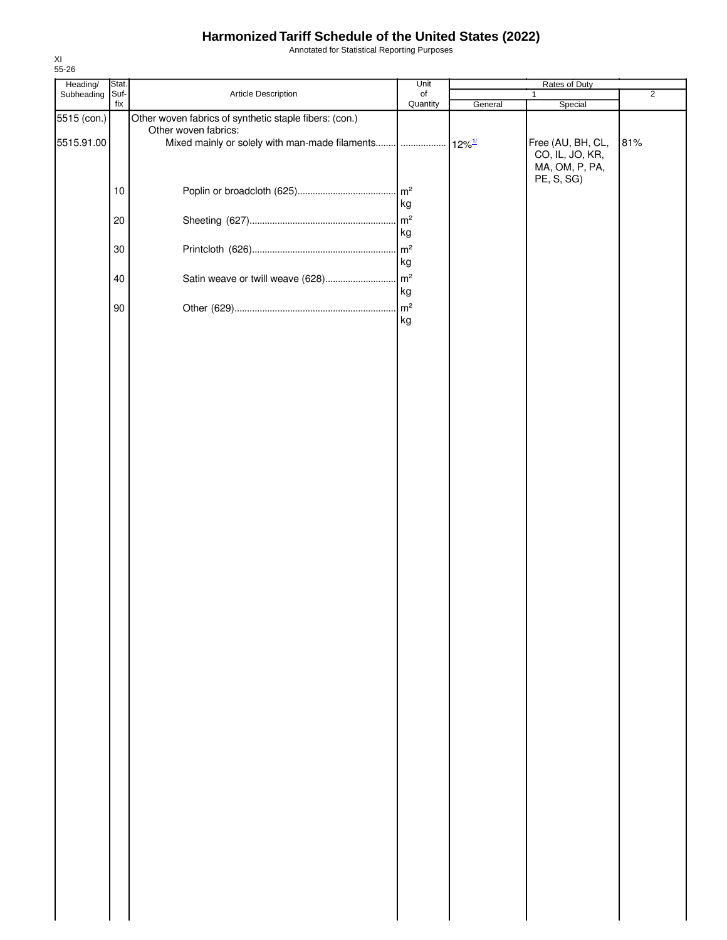Annotated for Statistical Reporting Purposes

| Heading/    | Stat.       |                                                                                               | Unit                 | Rates of Duty |                                                        |                |  |
|-------------|-------------|-----------------------------------------------------------------------------------------------|----------------------|---------------|--------------------------------------------------------|----------------|--|
| Subheading  | Suf-<br>fix | Article Description                                                                           | of<br>Quantity       | General       | 1<br>Special                                           | $\overline{2}$ |  |
| 5515 (con.) |             | Other woven fabrics of synthetic staple fibers: (con.)                                        |                      |               |                                                        |                |  |
| 5515.91.00  |             | Other woven fabrics:<br>Mixed mainly or solely with man-made filaments      12% <sup>1/</sup> |                      |               | Free (AU, BH, CL,<br>CO, IL, JO, KR,<br>MA, OM, P, PA, | 81%            |  |
|             | 10          |                                                                                               | $\mathsf{m}^2$<br>kg |               | PE, S, SG)                                             |                |  |
|             | $20\,$      |                                                                                               | m <sup>2</sup><br>kg |               |                                                        |                |  |
|             | 30          |                                                                                               | $\mathsf{m}^2$<br>kg |               |                                                        |                |  |
|             | 40          |                                                                                               | kg                   |               |                                                        |                |  |
|             | 90          |                                                                                               | $\mathsf{m}^2$<br>kg |               |                                                        |                |  |
|             |             |                                                                                               |                      |               |                                                        |                |  |
|             |             |                                                                                               |                      |               |                                                        |                |  |
|             |             |                                                                                               |                      |               |                                                        |                |  |
|             |             |                                                                                               |                      |               |                                                        |                |  |
|             |             |                                                                                               |                      |               |                                                        |                |  |
|             |             |                                                                                               |                      |               |                                                        |                |  |
|             |             |                                                                                               |                      |               |                                                        |                |  |
|             |             |                                                                                               |                      |               |                                                        |                |  |
|             |             |                                                                                               |                      |               |                                                        |                |  |
|             |             |                                                                                               |                      |               |                                                        |                |  |
|             |             |                                                                                               |                      |               |                                                        |                |  |
|             |             |                                                                                               |                      |               |                                                        |                |  |
|             |             |                                                                                               |                      |               |                                                        |                |  |
|             |             |                                                                                               |                      |               |                                                        |                |  |
|             |             |                                                                                               |                      |               |                                                        |                |  |
|             |             |                                                                                               |                      |               |                                                        |                |  |
|             |             |                                                                                               |                      |               |                                                        |                |  |
|             |             |                                                                                               |                      |               |                                                        |                |  |
|             |             |                                                                                               |                      |               |                                                        |                |  |
|             |             |                                                                                               |                      |               |                                                        |                |  |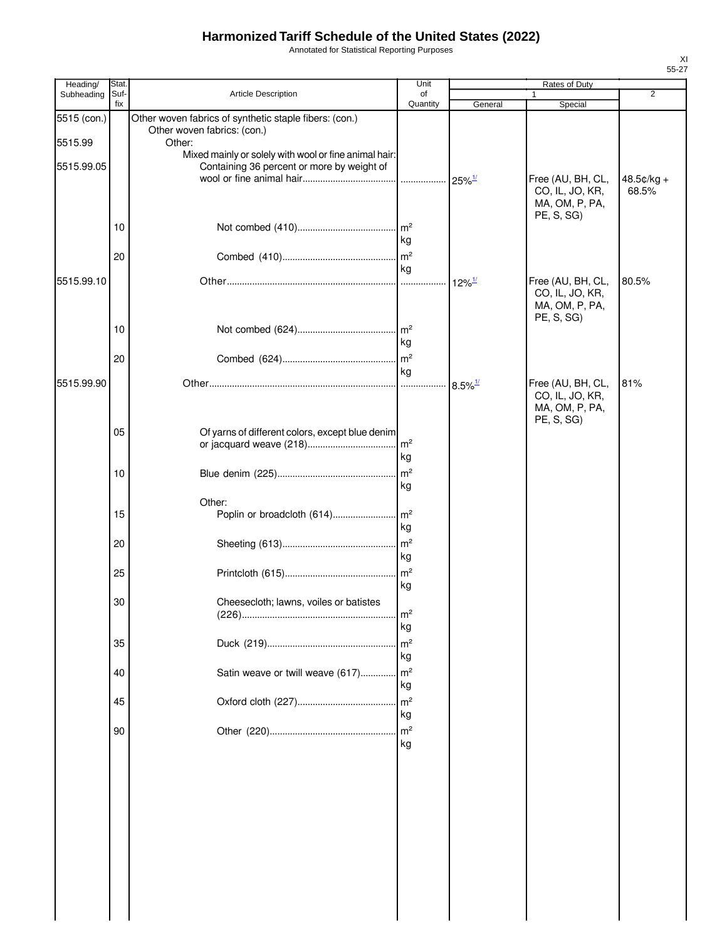Annotated for Statistical Reporting Purposes

| Heading/    | Stat.       |                                                                                       | Unit                 | Rates of Duty         |                                                                      |                     |
|-------------|-------------|---------------------------------------------------------------------------------------|----------------------|-----------------------|----------------------------------------------------------------------|---------------------|
| Subheading  | Suf-<br>fix | <b>Article Description</b>                                                            | of<br>Quantity       | General               | 1<br>Special                                                         | $\overline{2}$      |
| 5515 (con.) |             | Other woven fabrics of synthetic staple fibers: (con.)<br>Other woven fabrics: (con.) |                      |                       |                                                                      |                     |
| 5515.99     |             | Other:                                                                                |                      |                       |                                                                      |                     |
|             |             | Mixed mainly or solely with wool or fine animal hair:                                 |                      |                       |                                                                      |                     |
| 5515.99.05  |             | Containing 36 percent or more by weight of                                            |                      |                       |                                                                      |                     |
|             |             |                                                                                       |                      | $25\%$ <sup>1/</sup>  | Free (AU, BH, CL,<br>CO, IL, JO, KR,<br>MA, OM, P, PA,<br>PE, S, SG) | 48.5¢/kg +<br>68.5% |
|             | 10          |                                                                                       | kg                   |                       |                                                                      |                     |
|             | 20          |                                                                                       | ka                   |                       |                                                                      |                     |
| 5515.99.10  |             |                                                                                       |                      | $12\%$ <sup>1/</sup>  | Free (AU, BH, CL,<br>CO, IL, JO, KR,<br>MA, OM, P, PA,<br>PE, S, SG) | 80.5%               |
|             | 10          |                                                                                       | m <sup>2</sup>       |                       |                                                                      |                     |
|             |             |                                                                                       | kg                   |                       |                                                                      |                     |
|             | 20          |                                                                                       | m <sup>2</sup>       |                       |                                                                      |                     |
|             |             |                                                                                       | kg                   |                       |                                                                      |                     |
| 5515.99.90  |             |                                                                                       |                      | $8.5\%$ <sup>1/</sup> | Free (AU, BH, CL,<br>CO, IL, JO, KR,<br>MA, OM, P, PA,<br>PE, S, SG) | 81%                 |
|             | 05          | Of yarns of different colors, except blue denim                                       | m <sup>2</sup><br>kg |                       |                                                                      |                     |
|             | 10          |                                                                                       | m <sup>2</sup><br>kg |                       |                                                                      |                     |
|             |             |                                                                                       |                      |                       |                                                                      |                     |
|             | 15          | Other:<br>Poplin or broadcloth (614)                                                  | m <sup>2</sup><br>kg |                       |                                                                      |                     |
|             | 20          |                                                                                       | m <sup>2</sup><br>kg |                       |                                                                      |                     |
|             | 25          |                                                                                       | m <sup>2</sup><br>kg |                       |                                                                      |                     |
|             | 30          | Cheesecloth; lawns, voiles or batistes                                                |                      |                       |                                                                      |                     |
|             |             |                                                                                       | m <sup>2</sup>       |                       |                                                                      |                     |
|             |             |                                                                                       | kg                   |                       |                                                                      |                     |
|             | 35          |                                                                                       | m <sup>2</sup>       |                       |                                                                      |                     |
|             |             |                                                                                       | kg                   |                       |                                                                      |                     |
|             | 40          | Satin weave or twill weave (617) m <sup>2</sup>                                       | kg                   |                       |                                                                      |                     |
|             | 45          |                                                                                       | m <sup>2</sup><br>kg |                       |                                                                      |                     |
|             | 90          |                                                                                       | kg                   |                       |                                                                      |                     |
|             |             |                                                                                       |                      |                       |                                                                      |                     |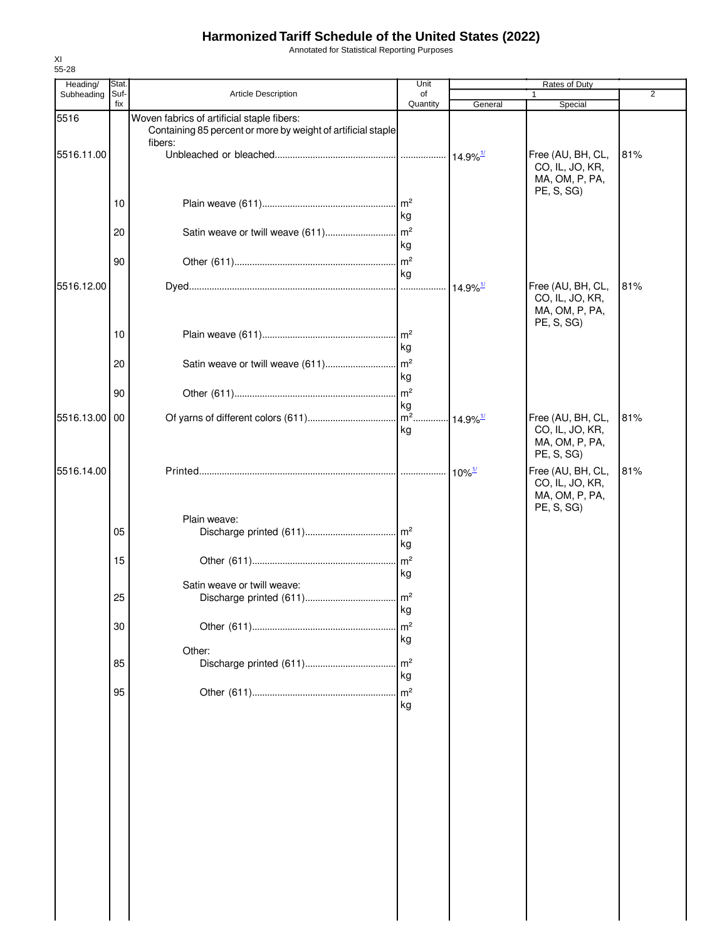Annotated for Statistical Reporting Purposes

| Heading/      | Stat.       |                                                                                                                       | Unit                 |                        | Rates of Duty                                                        |                |
|---------------|-------------|-----------------------------------------------------------------------------------------------------------------------|----------------------|------------------------|----------------------------------------------------------------------|----------------|
| Subheading    | Suf-<br>fix | Article Description                                                                                                   | of<br>Quantity       | General                | 1<br>Special                                                         | $\overline{2}$ |
| 5516          |             | Woven fabrics of artificial staple fibers:<br>Containing 85 percent or more by weight of artificial staple<br>fibers: |                      |                        |                                                                      |                |
| 5516.11.00    |             |                                                                                                                       |                      |                        | Free (AU, BH, CL,<br>CO, IL, JO, KR,<br>MA, OM, P, PA,<br>PE, S, SG) | 81%            |
|               | 10          |                                                                                                                       | kg                   |                        |                                                                      |                |
|               | 20          |                                                                                                                       | kg                   |                        |                                                                      |                |
|               | 90          |                                                                                                                       | kg                   |                        |                                                                      |                |
| 5516.12.00    |             |                                                                                                                       |                      | $14.9\%$ <sup>1/</sup> | Free (AU, BH, CL,<br>CO, IL, JO, KR,<br>MA, OM, P, PA,<br>PE, S, SG) | 81%            |
|               | 10          |                                                                                                                       | kg                   |                        |                                                                      |                |
|               | 20          |                                                                                                                       | l kg                 |                        |                                                                      |                |
|               | 90          |                                                                                                                       | kg                   |                        |                                                                      |                |
| 5516.13.00 00 |             |                                                                                                                       | kg                   |                        | Free (AU, BH, CL,<br>CO, IL, JO, KR,<br>MA, OM, P, PA,<br>PE, S, SG) | 81%            |
| 5516.14.00    |             |                                                                                                                       |                      | $10\%$ <sup>1/</sup>   | Free (AU, BH, CL,<br>CO, IL, JO, KR,<br>MA, OM, P, PA,<br>PE, S, SG) | 81%            |
|               | 05          | Plain weave:                                                                                                          | kg                   |                        |                                                                      |                |
|               | 15          |                                                                                                                       | kg                   |                        |                                                                      |                |
|               | 25          | Satin weave or twill weave:                                                                                           | kg                   |                        |                                                                      |                |
|               | 30          |                                                                                                                       | m <sup>2</sup><br>kg |                        |                                                                      |                |
|               | 85          | Other:                                                                                                                | m <sup>2</sup><br>kg |                        |                                                                      |                |
|               | 95          |                                                                                                                       | m <sup>2</sup><br>kg |                        |                                                                      |                |
|               |             |                                                                                                                       |                      |                        |                                                                      |                |
|               |             |                                                                                                                       |                      |                        |                                                                      |                |
|               |             |                                                                                                                       |                      |                        |                                                                      |                |
|               |             |                                                                                                                       |                      |                        |                                                                      |                |
|               |             |                                                                                                                       |                      |                        |                                                                      |                |
|               |             |                                                                                                                       |                      |                        |                                                                      |                |
|               |             |                                                                                                                       |                      |                        |                                                                      |                |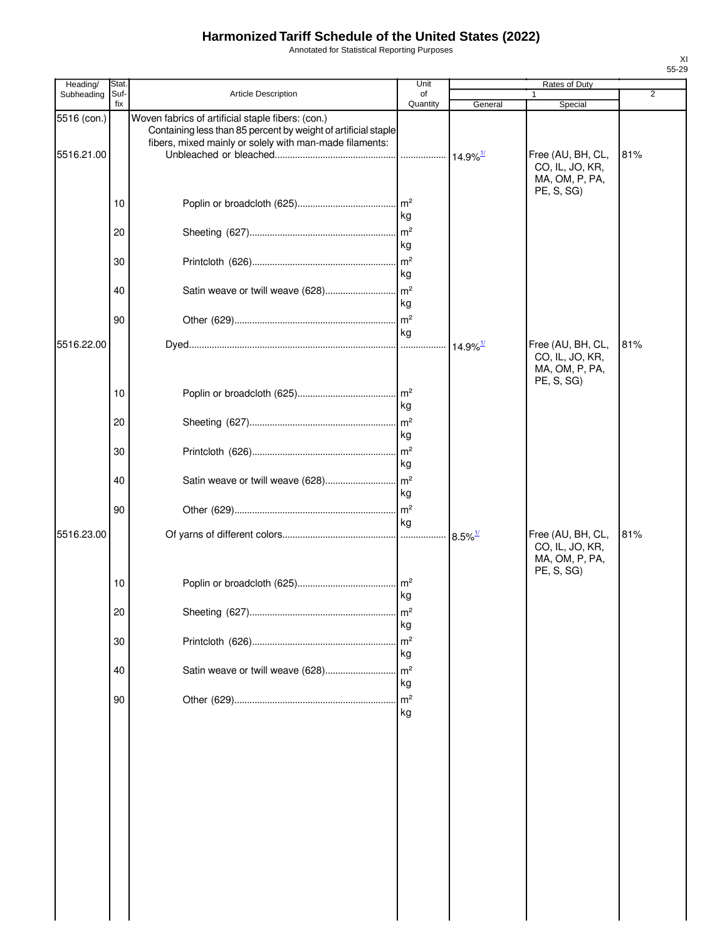Annotated for Statistical Reporting Purposes

| Heading/    | Stat.       |                                                                                                                                                                                | Unit                  |                        | Rates of Duty                                                        |                |
|-------------|-------------|--------------------------------------------------------------------------------------------------------------------------------------------------------------------------------|-----------------------|------------------------|----------------------------------------------------------------------|----------------|
| Subheading  | Suf-<br>fix | <b>Article Description</b>                                                                                                                                                     | of<br>Quantity        | General                | 1<br>Special                                                         | $\overline{2}$ |
| 5516 (con.) |             | Woven fabrics of artificial staple fibers: (con.)<br>Containing less than 85 percent by weight of artificial staple<br>fibers, mixed mainly or solely with man-made filaments: |                       |                        |                                                                      |                |
| 5516.21.00  |             |                                                                                                                                                                                | .                     | $14.9\%$ <sup>1/</sup> | Free (AU, BH, CL,<br>CO, IL, JO, KR,<br>MA, OM, P, PA,<br>PE, S, SG) | 81%            |
|             | 10          |                                                                                                                                                                                | kg                    |                        |                                                                      |                |
|             | 20          |                                                                                                                                                                                | m <sup>2</sup><br>kg  |                        |                                                                      |                |
|             | 30          |                                                                                                                                                                                | m <sup>2</sup><br>kg  |                        |                                                                      |                |
|             | 40          |                                                                                                                                                                                | kg                    |                        |                                                                      |                |
|             | 90          |                                                                                                                                                                                | kg                    |                        |                                                                      |                |
| 5516.22.00  |             |                                                                                                                                                                                |                       | $14.9\%$ <sup>1/</sup> | Free (AU, BH, CL,<br>CO, IL, JO, KR,<br>MA, OM, P, PA,<br>PE, S, SG) | 81%            |
|             | 10          |                                                                                                                                                                                | $\mathsf{Im}^2$<br>kg |                        |                                                                      |                |
|             | 20          |                                                                                                                                                                                | kg                    |                        |                                                                      |                |
|             | 30          |                                                                                                                                                                                | kg                    |                        |                                                                      |                |
|             | 40          |                                                                                                                                                                                | kg<br>m <sup>2</sup>  |                        |                                                                      |                |
| 5516.23.00  | 90          |                                                                                                                                                                                | kg                    | $8.5\%$ <sup>1/</sup>  | Free (AU, BH, CL,                                                    | 81%            |
|             |             |                                                                                                                                                                                |                       |                        | CO, IL, JO, KR,<br>MA, OM, P, PA,<br>PE, S, SG)                      |                |
|             | 10          |                                                                                                                                                                                | kg                    |                        |                                                                      |                |
|             | 20          |                                                                                                                                                                                | m <sup>2</sup><br>kg  |                        |                                                                      |                |
|             | 30          |                                                                                                                                                                                | m <sup>2</sup><br>kg  |                        |                                                                      |                |
|             | 40          | Satin weave or twill weave (628)                                                                                                                                               | m <sup>2</sup><br>kg  |                        |                                                                      |                |
|             | 90          |                                                                                                                                                                                | m <sup>2</sup><br>kg  |                        |                                                                      |                |
|             |             |                                                                                                                                                                                |                       |                        |                                                                      |                |
|             |             |                                                                                                                                                                                |                       |                        |                                                                      |                |
|             |             |                                                                                                                                                                                |                       |                        |                                                                      |                |
|             |             |                                                                                                                                                                                |                       |                        |                                                                      |                |
|             |             |                                                                                                                                                                                |                       |                        |                                                                      |                |
|             |             |                                                                                                                                                                                |                       |                        |                                                                      |                |
|             |             |                                                                                                                                                                                |                       |                        |                                                                      |                |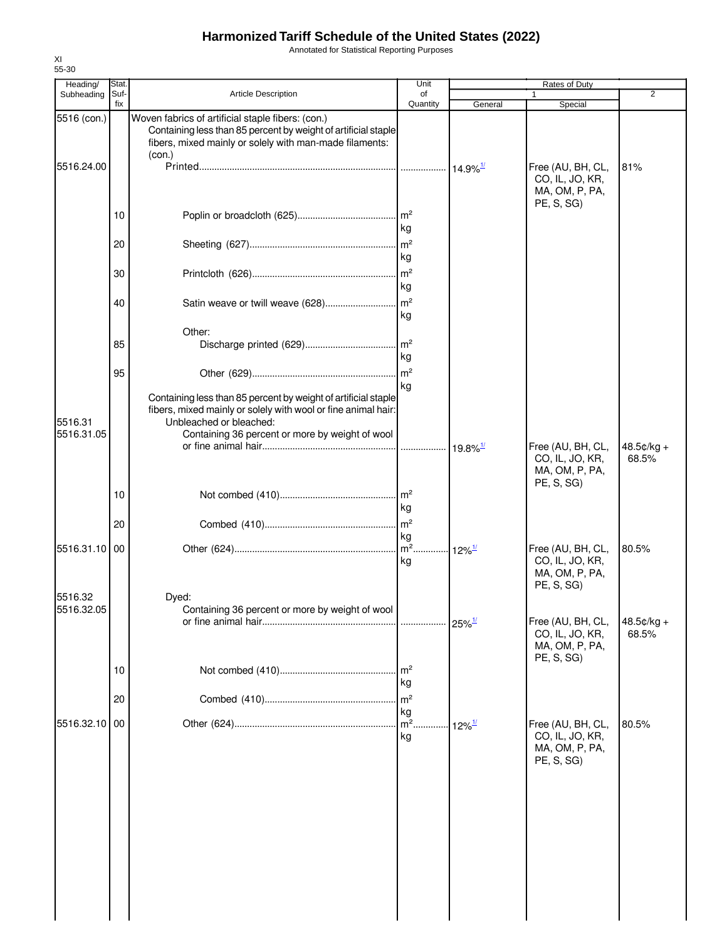Annotated for Statistical Reporting Purposes

| $\overline{2}$<br>Special<br>General<br>Free (AU, BH, CL,<br>81%<br>$14.9\%$ <sup>1/</sup><br>CO, IL, JO, KR,<br>MA, OM, P, PA, |
|---------------------------------------------------------------------------------------------------------------------------------|
|                                                                                                                                 |
|                                                                                                                                 |
| PE, S, SG)                                                                                                                      |
|                                                                                                                                 |
|                                                                                                                                 |
|                                                                                                                                 |
|                                                                                                                                 |
|                                                                                                                                 |
|                                                                                                                                 |
|                                                                                                                                 |
|                                                                                                                                 |
| Free (AU, BH, CL,<br>48.5¢/kg +<br>CO, IL, JO, KR,<br>68.5%<br>MA, OM, P, PA,<br>PE, S, SG)                                     |
|                                                                                                                                 |
|                                                                                                                                 |
| Free (AU, BH, CL,<br>80.5%<br>$12\%$ <sup>1/</sup><br>CO, IL, JO, KR,<br>MA, OM, P, PA,<br>PE, S, SG)                           |
| Free (AU, BH, CL,<br>$48.5¢/kg +$<br>$25\%$ <sup>1/</sup><br>68.5%<br>CO, IL, JO, KR,                                           |
| MA, OM, P, PA,<br>PE, S, SG)                                                                                                    |
|                                                                                                                                 |
| Free (AU, BH, CL,<br>80.5%<br>$12\%$ <sup>1/</sup><br>CO, IL, JO, KR,<br>MA, OM, P, PA,                                         |
| PE, S, SG)                                                                                                                      |
|                                                                                                                                 |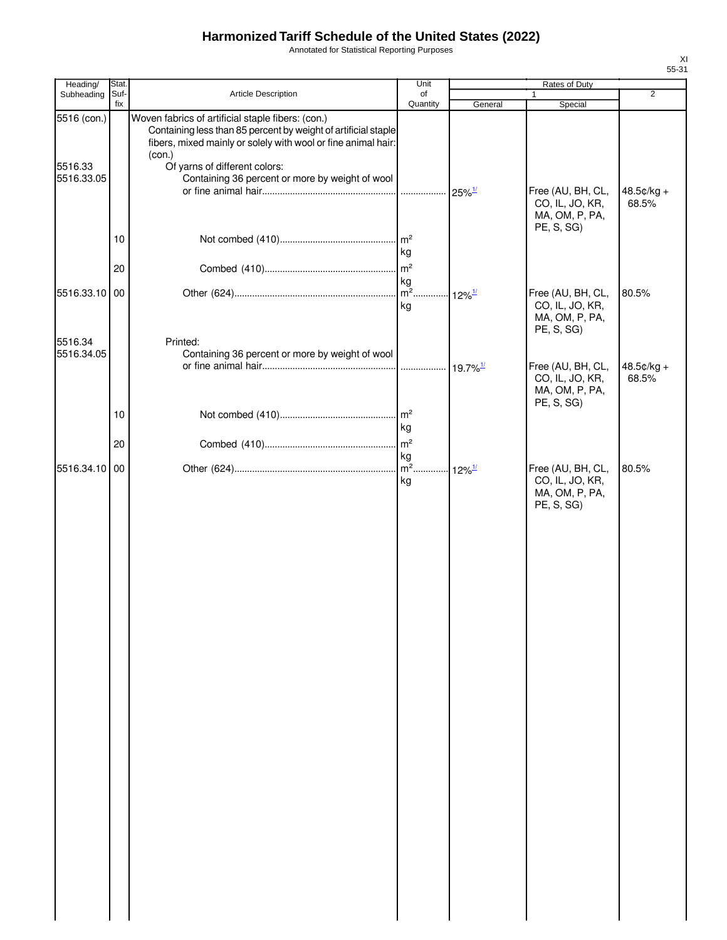Annotated for Statistical Reporting Purposes

| Heading/               | Stat.       |                                                                                                                                                                                                                                 | Unit                          | Rates of Duty        |                                                                      |                     |  |
|------------------------|-------------|---------------------------------------------------------------------------------------------------------------------------------------------------------------------------------------------------------------------------------|-------------------------------|----------------------|----------------------------------------------------------------------|---------------------|--|
| Subheading             | Suf-<br>fix | Article Description                                                                                                                                                                                                             | of<br>Quantity                | General              | $\mathbf{1}$<br>Special                                              | $\overline{2}$      |  |
| 5516 (con.)<br>5516.33 |             | Woven fabrics of artificial staple fibers: (con.)<br>Containing less than 85 percent by weight of artificial staple<br>fibers, mixed mainly or solely with wool or fine animal hair:<br>(con.)<br>Of yarns of different colors: |                               |                      |                                                                      |                     |  |
| 5516.33.05             |             | Containing 36 percent or more by weight of wool                                                                                                                                                                                 |                               | $25\%$ <sup>1/</sup> | Free (AU, BH, CL,<br>CO, IL, JO, KR,<br>MA, OM, P, PA,<br>PE, S, SG) | 48.5¢/kg +<br>68.5% |  |
|                        | 10          |                                                                                                                                                                                                                                 | kg                            |                      |                                                                      |                     |  |
|                        | 20          |                                                                                                                                                                                                                                 |                               |                      |                                                                      |                     |  |
| 5516.33.10 00          |             |                                                                                                                                                                                                                                 | kg                            | $12\%$ <sup>1/</sup> | Free (AU, BH, CL,<br>CO, IL, JO, KR,<br>MA, OM, P, PA,<br>PE, S, SG) | 80.5%               |  |
| 5516.34<br>5516.34.05  |             | Printed:<br>Containing 36 percent or more by weight of wool                                                                                                                                                                     |                               |                      | Free (AU, BH, CL,                                                    | 48.5¢/kg +          |  |
|                        |             |                                                                                                                                                                                                                                 |                               |                      | CO, IL, JO, KR,<br>MA, OM, P, PA,<br>PE, S, SG)                      | 68.5%               |  |
|                        | 10          |                                                                                                                                                                                                                                 | m <sup>2</sup><br>kg          |                      |                                                                      |                     |  |
|                        | 20          |                                                                                                                                                                                                                                 | m <sup>2</sup><br>kg          |                      |                                                                      |                     |  |
| 5516.34.10 00          |             |                                                                                                                                                                                                                                 | $m^2$ 12% <sup>1/</sup><br>kg |                      | Free (AU, BH, CL,<br>CO, IL, JO, KR,<br>MA, OM, P, PA,<br>PE, S, SG) | 80.5%               |  |
|                        |             |                                                                                                                                                                                                                                 |                               |                      |                                                                      |                     |  |
|                        |             |                                                                                                                                                                                                                                 |                               |                      |                                                                      |                     |  |
|                        |             |                                                                                                                                                                                                                                 |                               |                      |                                                                      |                     |  |
|                        |             |                                                                                                                                                                                                                                 |                               |                      |                                                                      |                     |  |
|                        |             |                                                                                                                                                                                                                                 |                               |                      |                                                                      |                     |  |
|                        |             |                                                                                                                                                                                                                                 |                               |                      |                                                                      |                     |  |
|                        |             |                                                                                                                                                                                                                                 |                               |                      |                                                                      |                     |  |
|                        |             |                                                                                                                                                                                                                                 |                               |                      |                                                                      |                     |  |
|                        |             |                                                                                                                                                                                                                                 |                               |                      |                                                                      |                     |  |
|                        |             |                                                                                                                                                                                                                                 |                               |                      |                                                                      |                     |  |
|                        |             |                                                                                                                                                                                                                                 |                               |                      |                                                                      |                     |  |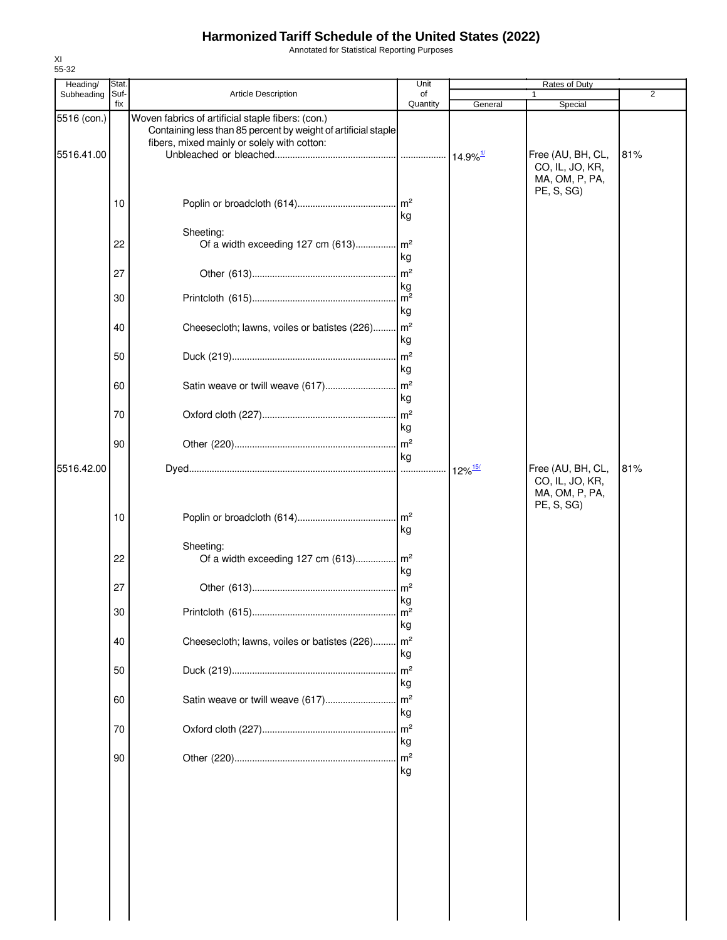Annotated for Statistical Reporting Purposes

| Heading/    | Stat.       |                                                                                                                                                                    | Unit                    |                       | Rates of Duty                                                        |     |
|-------------|-------------|--------------------------------------------------------------------------------------------------------------------------------------------------------------------|-------------------------|-----------------------|----------------------------------------------------------------------|-----|
| Subheading  | Suf-<br>fix | <b>Article Description</b>                                                                                                                                         | of<br>Quantity          | General               | Special                                                              | 2   |
| 5516 (con.) |             | Woven fabrics of artificial staple fibers: (con.)<br>Containing less than 85 percent by weight of artificial staple<br>fibers, mixed mainly or solely with cotton: |                         |                       |                                                                      |     |
| 5516.41.00  |             |                                                                                                                                                                    |                         |                       | Free (AU, BH, CL,<br>CO, IL, JO, KR,<br>MA, OM, P, PA,<br>PE, S, SG) | 81% |
|             | 10          | Sheeting:                                                                                                                                                          | . $\mathsf{Im}^2$<br>kg |                       |                                                                      |     |
|             | 22          | Of a width exceeding 127 cm (613) m <sup>2</sup>                                                                                                                   | kg                      |                       |                                                                      |     |
|             | 27          |                                                                                                                                                                    | $\mathsf{m}^2$<br>kg    |                       |                                                                      |     |
|             | 30          |                                                                                                                                                                    | kg                      |                       |                                                                      |     |
|             | 40          | Cheesecloth; lawns, voiles or batistes (226)                                                                                                                       | $\mathsf{Im}^2$<br>kg   |                       |                                                                      |     |
|             | 50          |                                                                                                                                                                    | m <sup>2</sup><br>kg    |                       |                                                                      |     |
|             | 60          | Satin weave or twill weave (617)                                                                                                                                   | $\mathsf{m}^2$<br>kg    |                       |                                                                      |     |
|             | 70          |                                                                                                                                                                    | $\mathsf{Im}^2$<br>kg   |                       |                                                                      |     |
|             | 90          |                                                                                                                                                                    | kg                      |                       |                                                                      |     |
| 5516.42.00  |             |                                                                                                                                                                    |                         | $12\%$ <sup>15/</sup> | Free (AU, BH, CL,<br>CO, IL, JO, KR,<br>MA, OM, P, PA,<br>PE, S, SG) | 81% |
|             | 10          |                                                                                                                                                                    | $\mathsf{m}^2$<br>kg    |                       |                                                                      |     |
|             | 22          | Sheeting:<br>Of a width exceeding 127 cm (613) m <sup>2</sup>                                                                                                      | kg                      |                       |                                                                      |     |
|             | 27          |                                                                                                                                                                    | m <sup>2</sup><br>kg    |                       |                                                                      |     |
|             | 30          |                                                                                                                                                                    | . $\mathsf{Im}^2$<br>kg |                       |                                                                      |     |
|             | 40          | Cheesecloth; lawns, voiles or batistes (226)                                                                                                                       | m <sup>2</sup><br>kg    |                       |                                                                      |     |
|             | 50          |                                                                                                                                                                    | m <sup>2</sup><br>kg    |                       |                                                                      |     |
|             | 60          | Satin weave or twill weave (617)                                                                                                                                   | $\mathsf{Im}^2$<br>kg   |                       |                                                                      |     |
|             | 70          |                                                                                                                                                                    | m <sup>2</sup><br>kg    |                       |                                                                      |     |
|             | 90          |                                                                                                                                                                    | m <sup>2</sup><br>kg    |                       |                                                                      |     |
|             |             |                                                                                                                                                                    |                         |                       |                                                                      |     |
|             |             |                                                                                                                                                                    |                         |                       |                                                                      |     |
|             |             |                                                                                                                                                                    |                         |                       |                                                                      |     |
|             |             |                                                                                                                                                                    |                         |                       |                                                                      |     |
|             |             |                                                                                                                                                                    |                         |                       |                                                                      |     |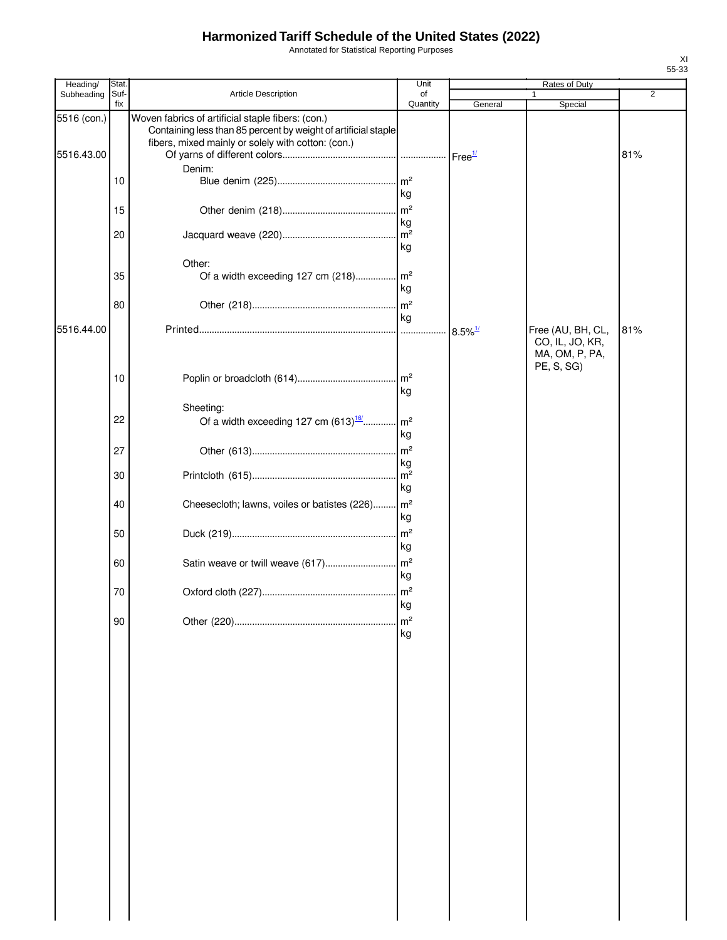Annotated for Statistical Reporting Purposes

| Heading/    | Stat        |                                                                                                                                                                           | Unit                 |                       | Rates of Duty                                                        |                |
|-------------|-------------|---------------------------------------------------------------------------------------------------------------------------------------------------------------------------|----------------------|-----------------------|----------------------------------------------------------------------|----------------|
| Subheading  | Suf-<br>fix | Article Description                                                                                                                                                       | of<br>Quantity       | General               | Special                                                              | $\overline{2}$ |
| 5516 (con.) |             | Woven fabrics of artificial staple fibers: (con.)<br>Containing less than 85 percent by weight of artificial staple<br>fibers, mixed mainly or solely with cotton: (con.) |                      |                       |                                                                      |                |
| 5516.43.00  |             |                                                                                                                                                                           |                      | Free <sup>1/</sup>    |                                                                      | 81%            |
|             |             | Denim:                                                                                                                                                                    | $\mathsf{Im}^2$      |                       |                                                                      |                |
|             | 10          |                                                                                                                                                                           | kg                   |                       |                                                                      |                |
|             | 15          |                                                                                                                                                                           |                      |                       |                                                                      |                |
|             |             |                                                                                                                                                                           | kg                   |                       |                                                                      |                |
|             | 20          |                                                                                                                                                                           |                      |                       |                                                                      |                |
|             |             |                                                                                                                                                                           | kg                   |                       |                                                                      |                |
|             | 35          | Other:                                                                                                                                                                    |                      |                       |                                                                      |                |
|             |             |                                                                                                                                                                           | kg                   |                       |                                                                      |                |
|             | 80          |                                                                                                                                                                           |                      |                       |                                                                      |                |
|             |             |                                                                                                                                                                           | kg                   |                       |                                                                      |                |
| 5516.44.00  |             |                                                                                                                                                                           |                      | $8.5\%$ <sup>1/</sup> | Free (AU, BH, CL,<br>CO, IL, JO, KR,<br>MA, OM, P, PA,<br>PE, S, SG) | 81%            |
|             | 10          |                                                                                                                                                                           |                      |                       |                                                                      |                |
|             |             |                                                                                                                                                                           | kg                   |                       |                                                                      |                |
|             |             | Sheeting:                                                                                                                                                                 |                      |                       |                                                                      |                |
|             | 22          | Of a width exceeding 127 cm $(613)$ <sup>16</sup>                                                                                                                         | $\mathsf{m}^2$<br>kg |                       |                                                                      |                |
|             | 27          |                                                                                                                                                                           |                      |                       |                                                                      |                |
|             |             |                                                                                                                                                                           | kg                   |                       |                                                                      |                |
|             | 30          |                                                                                                                                                                           |                      |                       |                                                                      |                |
|             |             |                                                                                                                                                                           | kg                   |                       |                                                                      |                |
|             | 40          | Cheesecloth; lawns, voiles or batistes (226) m <sup>2</sup>                                                                                                               | kg                   |                       |                                                                      |                |
|             | 50          |                                                                                                                                                                           |                      |                       |                                                                      |                |
|             |             |                                                                                                                                                                           | kg                   |                       |                                                                      |                |
|             | 60          |                                                                                                                                                                           |                      |                       |                                                                      |                |
|             |             |                                                                                                                                                                           | kg                   |                       |                                                                      |                |
|             | 70          |                                                                                                                                                                           | kg                   |                       |                                                                      |                |
|             | 90          |                                                                                                                                                                           | m <sup>2</sup>       |                       |                                                                      |                |
|             |             |                                                                                                                                                                           | kg                   |                       |                                                                      |                |
|             |             |                                                                                                                                                                           |                      |                       |                                                                      |                |
|             |             |                                                                                                                                                                           |                      |                       |                                                                      |                |
|             |             |                                                                                                                                                                           |                      |                       |                                                                      |                |
|             |             |                                                                                                                                                                           |                      |                       |                                                                      |                |
|             |             |                                                                                                                                                                           |                      |                       |                                                                      |                |
|             |             |                                                                                                                                                                           |                      |                       |                                                                      |                |
|             |             |                                                                                                                                                                           |                      |                       |                                                                      |                |
|             |             |                                                                                                                                                                           |                      |                       |                                                                      |                |
|             |             |                                                                                                                                                                           |                      |                       |                                                                      |                |
|             |             |                                                                                                                                                                           |                      |                       |                                                                      |                |
|             |             |                                                                                                                                                                           |                      |                       |                                                                      |                |
|             |             |                                                                                                                                                                           |                      |                       |                                                                      |                |
|             |             |                                                                                                                                                                           |                      |                       |                                                                      |                |
|             |             |                                                                                                                                                                           |                      |                       |                                                                      |                |
|             |             |                                                                                                                                                                           |                      |                       |                                                                      |                |
|             |             |                                                                                                                                                                           |                      |                       |                                                                      |                |
|             |             |                                                                                                                                                                           |                      |                       |                                                                      |                |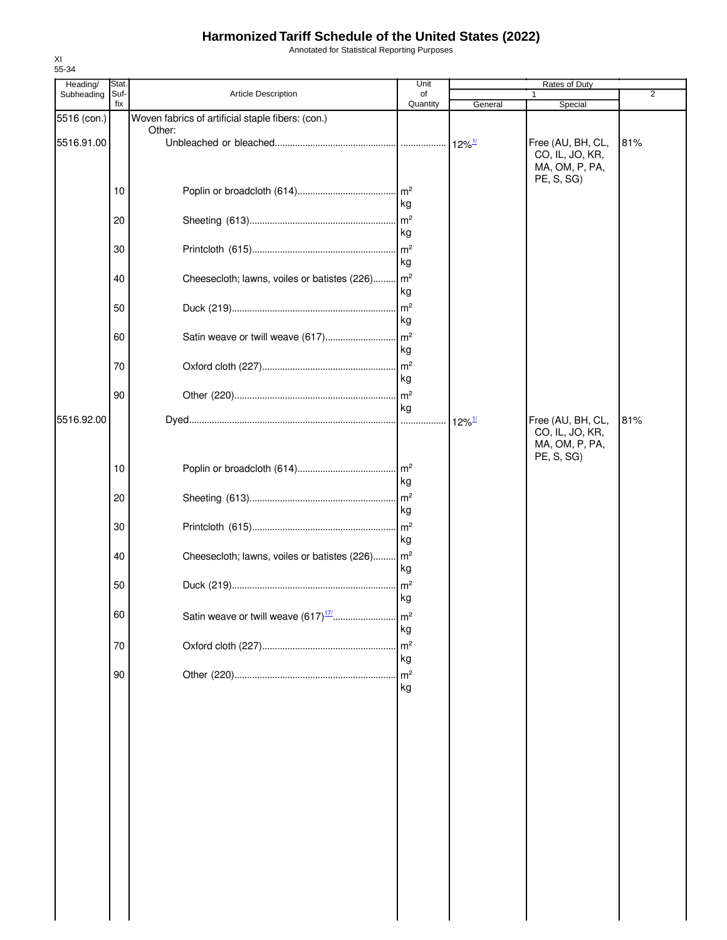Annotated for Statistical Reporting Purposes

| Heading/    | Stat.       |                                                   | Unit                                    |                      | Rates of Duty                                          |                |
|-------------|-------------|---------------------------------------------------|-----------------------------------------|----------------------|--------------------------------------------------------|----------------|
| Subheading  | Suf-<br>fix | Article Description                               | of<br>Quantity                          | General              | 1<br>Special                                           | $\overline{2}$ |
| 5516 (con.) |             | Woven fabrics of artificial staple fibers: (con.) |                                         |                      |                                                        |                |
| 5516.91.00  |             | Other:                                            |                                         | $12\%$ <sup>1/</sup> | Free (AU, BH, CL,<br>CO, IL, JO, KR,<br>MA, OM, P, PA, | 81%            |
|             | 10          |                                                   | $\mathsf{Im}^2$<br>kg                   |                      | PE, S, SG)                                             |                |
|             | 20          |                                                   | $\mathsf{Im}^2$<br>kg                   |                      |                                                        |                |
|             | 30          |                                                   | $\mathsf{Im}^2$<br>kg                   |                      |                                                        |                |
|             | 40          | Cheesecloth; lawns, voiles or batistes (226)      | $\mathsf{Im}^2$<br>kg                   |                      |                                                        |                |
|             | 50          |                                                   | m <sup>2</sup><br>kg                    |                      |                                                        |                |
|             | 60          | Satin weave or twill weave (617)                  | m <sup>2</sup><br>kg                    |                      |                                                        |                |
|             | 70          |                                                   | $\mathsf{Im}^2$<br>kg                   |                      |                                                        |                |
| 5516.92.00  | 90          |                                                   | $\mathsf{m}^2$<br>kg                    | $12\%$ <sup>1/</sup> | Free (AU, BH, CL,                                      | 81%            |
|             |             |                                                   |                                         |                      | CO, IL, JO, KR,<br>MA, OM, P, PA,<br>PE, S, SG)        |                |
|             | 10          |                                                   | m <sup>2</sup><br>kg                    |                      |                                                        |                |
|             | 20          |                                                   | m <sup>2</sup><br>kg                    |                      |                                                        |                |
|             | 30          |                                                   | m <sup>2</sup><br>kg                    |                      |                                                        |                |
|             | 40<br>50    | Cheesecloth; lawns, voiles or batistes (226)      | $\mathsf{Im}^2$<br>kg<br>m <sup>2</sup> |                      |                                                        |                |
|             | 60          |                                                   | kg<br>m <sup>2</sup>                    |                      |                                                        |                |
|             | 70          |                                                   | kg<br>m <sup>2</sup>                    |                      |                                                        |                |
|             | 90          |                                                   | kg<br>m <sup>2</sup>                    |                      |                                                        |                |
|             |             |                                                   | kg                                      |                      |                                                        |                |
|             |             |                                                   |                                         |                      |                                                        |                |
|             |             |                                                   |                                         |                      |                                                        |                |
|             |             |                                                   |                                         |                      |                                                        |                |
|             |             |                                                   |                                         |                      |                                                        |                |
|             |             |                                                   |                                         |                      |                                                        |                |
|             |             |                                                   |                                         |                      |                                                        |                |
|             |             |                                                   |                                         |                      |                                                        |                |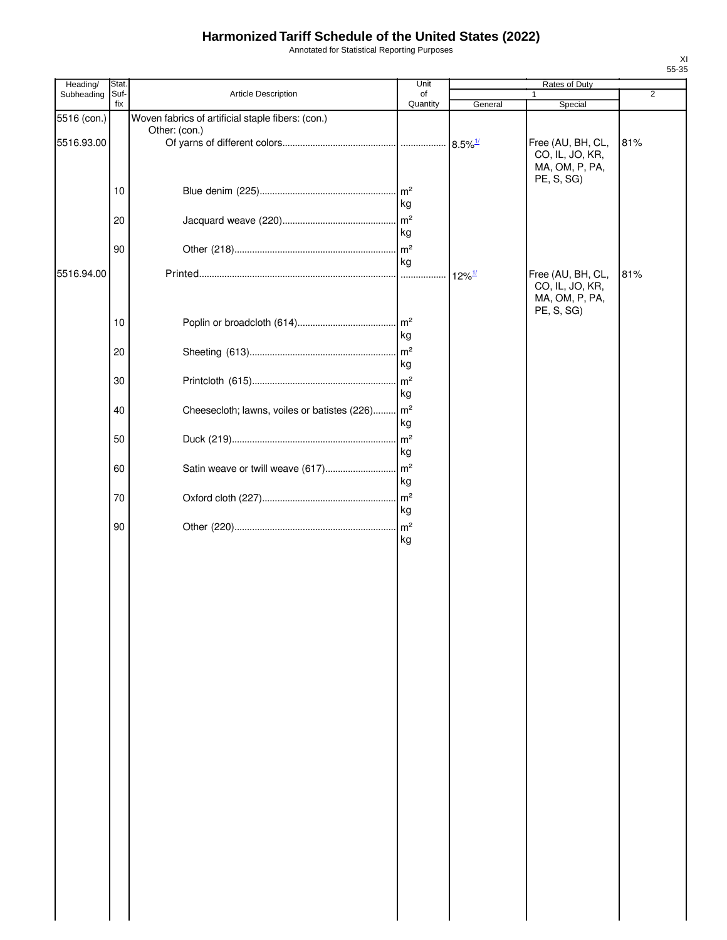Annotated for Statistical Reporting Purposes

| Heading/    | Stat. |                                                   | Unit            |                       | Rates of Duty     |                |
|-------------|-------|---------------------------------------------------|-----------------|-----------------------|-------------------|----------------|
| Subheading  | Suf-  | Article Description                               | of              |                       | $\mathbf{1}$      | $\overline{2}$ |
|             | fix   |                                                   | Quantity        | General               | Special           |                |
| 5516 (con.) |       | Woven fabrics of artificial staple fibers: (con.) |                 |                       |                   |                |
|             |       | Other: (con.)                                     |                 |                       |                   |                |
| 5516.93.00  |       |                                                   |                 | $8.5\%$ <sup>1/</sup> | Free (AU, BH, CL, | 81%            |
|             |       |                                                   |                 |                       | CO, IL, JO, KR,   |                |
|             |       |                                                   |                 |                       | MA, OM, P, PA,    |                |
|             |       |                                                   |                 |                       | PE, S, SG)        |                |
|             | 10    |                                                   | $\mathsf{Im}^2$ |                       |                   |                |
|             |       |                                                   | kg              |                       |                   |                |
|             | 20    |                                                   | m <sup>2</sup>  |                       |                   |                |
|             |       |                                                   | kg              |                       |                   |                |
|             |       |                                                   |                 |                       |                   |                |
|             | 90    |                                                   | m <sup>2</sup>  |                       |                   |                |
|             |       |                                                   | kg              |                       |                   |                |
| 5516.94.00  |       |                                                   |                 | $12\%$ <sup>1/</sup>  | Free (AU, BH, CL, | 81%            |
|             |       |                                                   |                 |                       | CO, IL, JO, KR,   |                |
|             |       |                                                   |                 |                       | MA, OM, P, PA,    |                |
|             | 10    |                                                   |                 |                       | PE, S, SG)        |                |
|             |       |                                                   |                 |                       |                   |                |
|             |       |                                                   | kg              |                       |                   |                |
|             | 20    |                                                   | $\mathsf{Im}^2$ |                       |                   |                |
|             |       |                                                   | kg              |                       |                   |                |
|             | 30    |                                                   | m <sup>2</sup>  |                       |                   |                |
|             |       |                                                   | kg              |                       |                   |                |
|             | 40    | Cheesecloth; lawns, voiles or batistes (226)      | m <sup>2</sup>  |                       |                   |                |
|             |       |                                                   | kg              |                       |                   |                |
|             |       |                                                   |                 |                       |                   |                |
|             | 50    |                                                   | m <sup>2</sup>  |                       |                   |                |
|             |       |                                                   | kg              |                       |                   |                |
|             | 60    | Satin weave or twill weave (617)                  | m <sup>2</sup>  |                       |                   |                |
|             |       |                                                   | kg              |                       |                   |                |
|             | 70    |                                                   | m <sup>2</sup>  |                       |                   |                |
|             |       |                                                   | kg              |                       |                   |                |
|             | 90    |                                                   | m <sup>2</sup>  |                       |                   |                |
|             |       |                                                   | kg              |                       |                   |                |
|             |       |                                                   |                 |                       |                   |                |
|             |       |                                                   |                 |                       |                   |                |
|             |       |                                                   |                 |                       |                   |                |
|             |       |                                                   |                 |                       |                   |                |
|             |       |                                                   |                 |                       |                   |                |
|             |       |                                                   |                 |                       |                   |                |
|             |       |                                                   |                 |                       |                   |                |
|             |       |                                                   |                 |                       |                   |                |
|             |       |                                                   |                 |                       |                   |                |
|             |       |                                                   |                 |                       |                   |                |
|             |       |                                                   |                 |                       |                   |                |
|             |       |                                                   |                 |                       |                   |                |
|             |       |                                                   |                 |                       |                   |                |
|             |       |                                                   |                 |                       |                   |                |
|             |       |                                                   |                 |                       |                   |                |
|             |       |                                                   |                 |                       |                   |                |
|             |       |                                                   |                 |                       |                   |                |
|             |       |                                                   |                 |                       |                   |                |
|             |       |                                                   |                 |                       |                   |                |
|             |       |                                                   |                 |                       |                   |                |
|             |       |                                                   |                 |                       |                   |                |
|             |       |                                                   |                 |                       |                   |                |
|             |       |                                                   |                 |                       |                   |                |
|             |       |                                                   |                 |                       |                   |                |
|             |       |                                                   |                 |                       |                   |                |
|             |       |                                                   |                 |                       |                   |                |
|             |       |                                                   |                 |                       |                   |                |
|             |       |                                                   |                 |                       |                   |                |
|             |       |                                                   |                 |                       |                   |                |
|             |       |                                                   |                 |                       |                   |                |